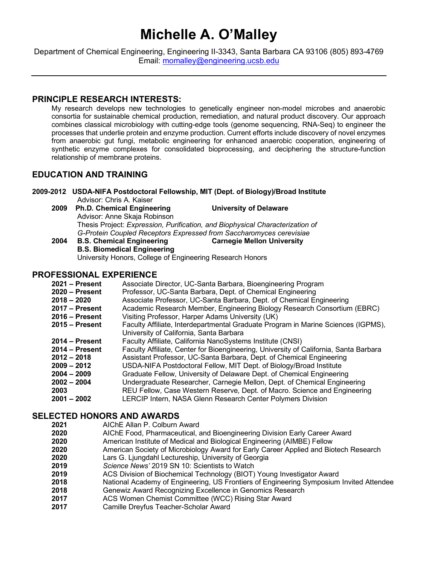# **Michelle A. O'Malley**

Department of Chemical Engineering, Engineering II-3343, Santa Barbara CA 93106 (805) 893-4769 Email: momalley@engineering.ucsb.edu

# **PRINCIPLE RESEARCH INTERESTS:**

My research develops new technologies to genetically engineer non-model microbes and anaerobic consortia for sustainable chemical production, remediation, and natural product discovery. Our approach combines classical microbiology with cutting-edge tools (genome sequencing, RNA-Seq) to engineer the processes that underlie protein and enzyme production. Current efforts include discovery of novel enzymes from anaerobic gut fungi, metabolic engineering for enhanced anaerobic cooperation, engineering of synthetic enzyme complexes for consolidated bioprocessing, and deciphering the structure-function relationship of membrane proteins.

# **EDUCATION AND TRAINING**

**2009-2012 USDA-NIFA Postdoctoral Fellowship, MIT (Dept. of Biology)/Broad Institute** Advisor: Chris A. Kaiser

- **2009 Ph.D. Chemical Engineering University of Delaware** Advisor: Anne Skaja Robinson Thesis Project: *Expression, Purification, and Biophysical Characterization of G-Protein Coupled Receptors Expressed from Saccharomyces cerevisiae* **2004 B.S. Chemical Engineering Carnegie Mellon University**
- **B.S. Biomedical Engineering** University Honors, College of Engineering Research Honors

# **PROFESSIONAL EXPERIENCE**

| $2021 - Present$ | Associate Director, UC-Santa Barbara, Bioengineering Program                          |
|------------------|---------------------------------------------------------------------------------------|
| $2020 - Present$ | Professor, UC-Santa Barbara, Dept. of Chemical Engineering                            |
| $2018 - 2020$    | Associate Professor, UC-Santa Barbara, Dept. of Chemical Engineering                  |
| $2017 -$ Present | Academic Research Member, Engineering Biology Research Consortium (EBRC)              |
| $2016 -$ Present | Visiting Professor, Harper Adams University (UK)                                      |
| $2015 -$ Present | Faculty Affiliate, Interdepartmental Graduate Program in Marine Sciences (IGPMS),     |
|                  | University of California, Santa Barbara                                               |
| $2014 -$ Present | Faculty Affiliate, California NanoSystems Institute (CNSI)                            |
| $2014 - Present$ | Faculty Affiliate, Center for Bioengineering, University of California, Santa Barbara |
| $2012 - 2018$    | Assistant Professor, UC-Santa Barbara, Dept. of Chemical Engineering                  |
| $2009 - 2012$    | USDA-NIFA Postdoctoral Fellow, MIT Dept. of Biology/Broad Institute                   |
| $2004 - 2009$    | Graduate Fellow, University of Delaware Dept. of Chemical Engineering                 |
| $2002 - 2004$    | Undergraduate Researcher, Carnegie Mellon, Dept. of Chemical Engineering              |
| 2003             | REU Fellow, Case Western Reserve, Dept. of Macro. Science and Engineering             |
| $2001 - 2002$    | LERCIP Intern, NASA Glenn Research Center Polymers Division                           |
|                  |                                                                                       |

# **SELECTED HONORS AND AWARDS**<br>2021 AIChE Allan P. Colburn

- **2021** AIChE Allan P. Colburn Award
- **2020** AIChE Food, Pharmaceutical, and Bioengineering Division Early Career Award
- **2020** American Institute of Medical and Biological Engineering (AIMBE) Fellow
- **2020** American Society of Microbiology Award for Early Career Applied and Biotech Research
- **2020** Lars G. Ljungdahl Lectureship, University of Georgia
- **2019** *Science News'* 2019 SN 10: Scientists to Watch
- **2019** ACS Division of Biochemical Technology (BIOT) Young Investigator Award
- **2018** National Academy of Engineering, US Frontiers of Engineering Symposium Invited Attendee
- **2018** Genewiz Award Recognizing Excellence in Genomics Research
- **2017** ACS Women Chemist Committee (WCC) Rising Star Award
- **2017** Camille Dreyfus Teacher-Scholar Award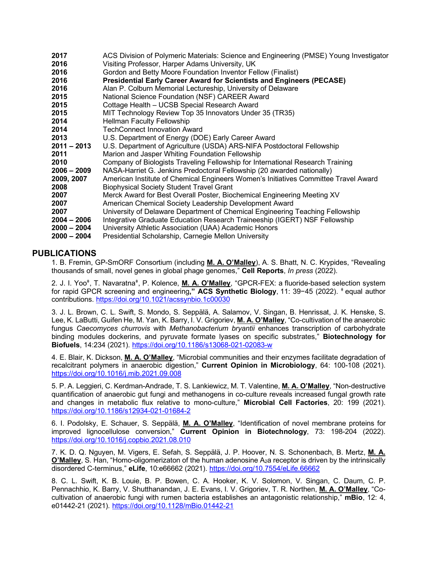| 2017          | ACS Division of Polymeric Materials: Science and Engineering (PMSE) Young Investigator |
|---------------|----------------------------------------------------------------------------------------|
| 2016          | Visiting Professor, Harper Adams University, UK                                        |
| 2016          | Gordon and Betty Moore Foundation Inventor Fellow (Finalist)                           |
| 2016          | <b>Presidential Early Career Award for Scientists and Engineers (PECASE)</b>           |
| 2016          | Alan P. Colburn Memorial Lectureship, University of Delaware                           |
| 2015          | National Science Foundation (NSF) CAREER Award                                         |
| 2015          | Cottage Health - UCSB Special Research Award                                           |
| 2015          | MIT Technology Review Top 35 Innovators Under 35 (TR35)                                |
| 2014          | <b>Hellman Faculty Fellowship</b>                                                      |
| 2014          | <b>TechConnect Innovation Award</b>                                                    |
| 2013          | U.S. Department of Energy (DOE) Early Career Award                                     |
| 2011 - 2013   | U.S. Department of Agriculture (USDA) ARS-NIFA Postdoctoral Fellowship                 |
| 2011          | Marion and Jasper Whiting Foundation Fellowship                                        |
| 2010          | Company of Biologists Traveling Fellowship for International Research Training         |
| $2006 - 2009$ | NASA-Harriet G. Jenkins Predoctoral Fellowship (20 awarded nationally)                 |
| 2009, 2007    | American Institute of Chemical Engineers Women's Initiatives Committee Travel Award    |
| 2008          | <b>Biophysical Society Student Travel Grant</b>                                        |
| 2007          | Merck Award for Best Overall Poster, Biochemical Engineering Meeting XV                |
| 2007          | American Chemical Society Leadership Development Award                                 |
| 2007          | University of Delaware Department of Chemical Engineering Teaching Fellowship          |
| $2004 - 2006$ | Integrative Graduate Education Research Traineeship (IGERT) NSF Fellowship             |
| $2000 - 2004$ | University Athletic Association (UAA) Academic Honors                                  |
| $2000 - 2004$ | Presidential Scholarship, Carnegie Mellon University                                   |

# **PUBLICATIONS**

1. B. Fremin, GP-SmORF Consortium (including **M. A. O'Malley**), A. S. Bhatt, N. C. Krypides, "Revealing thousands of small, novel genes in global phage genomes," **Cell Reports**, *In press* (2022).

2. J. I. Yooǂ, T. Navaratnaǂ, P. Kolence, **M. A. O'Malley**, "GPCR-FEX: a fluoride-based selection system for rapid GPCR screening and engineering**," ACS Synthetic Biology**, 11: 39−45 (2022). ǂ equal author contributions. https://doi.org/10.1021/acssynbio.1c00030

3. J. L. Brown, C. L. Swift, S. Mondo, S. Seppälä, A. Salamov, V. Singan, B. Henrissat, J. K. Henske, S. Lee, K. LaButti, Guifen He, M. Yan, K. Barry, I. V. Grigoriev, **M. A. O'Malley**, "Co-cultivation of the anaerobic fungus *Caecomyces churrovis* with *Methanobacterium bryantii* enhances transcription of carbohydrate binding modules dockerins, and pyruvate formate lyases on specific substrates," **Biotechnology for Biofuels**, 14:234 (2021). https://doi.org/10.1186/s13068-021-02083-w

4. E. Blair, K. Dickson, **M. A. O'Malley**, "Microbial communities and their enzymes facilitate degradation of recalcitrant polymers in anaerobic digestion," **Current Opinion in Microbiology**, 64: 100-108 (2021). https://doi.org/10.1016/j.mib.2021.09.008

5. P. A. Leggieri, C. Kerdman-Andrade, T. S. Lankiewicz, M. T. Valentine, **M. A. O'Malley**, "Non-destructive quantification of anaerobic gut fungi and methanogens in co-culture reveals increased fungal growth rate and changes in metabolic flux relative to mono-culture," **Microbial Cell Factories**, 20: 199 (2021). https://doi.org/10.1186/s12934-021-01684-2

6. I. Podolsky, E. Schauer, S. Seppälä, **M. A. O'Malley**, "Identification of novel membrane proteins for improved lignocellulose conversion," **Current Opinion in Biotechnology**, 73: 198-204 (2022). https://doi.org/10.1016/j.copbio.2021.08.010

7. K. D. Q. Nguyen, M. Vigers, E. Sefah, S. Seppälä, J. P. Hoover, N. S. Schonenbach, B. Mertz, **M. A. O'Malley**, S. Han, "Homo-oligomerizaton of the human adenosine A2a receptor is driven by the intrinsically disordered C-terminus," **eLife**, 10:e66662 (2021). https://doi.org/10.7554/eLife.66662

8. C. L. Swift, K. B. Louie, B. P. Bowen, C. A. Hooker, K. V. Solomon, V. Singan, C. Daum, C. P. Pennachhio, K. Barry, V. Shutthanandan, J. E. Evans, I. V. Grigoriev, T. R. Northen, **M. A. O'Malley**, "Cocultivation of anaerobic fungi with rumen bacteria establishes an antagonistic relationship," **mBio**, 12: 4, e01442-21 (2021)*.* https://doi.org/10.1128/mBio.01442-21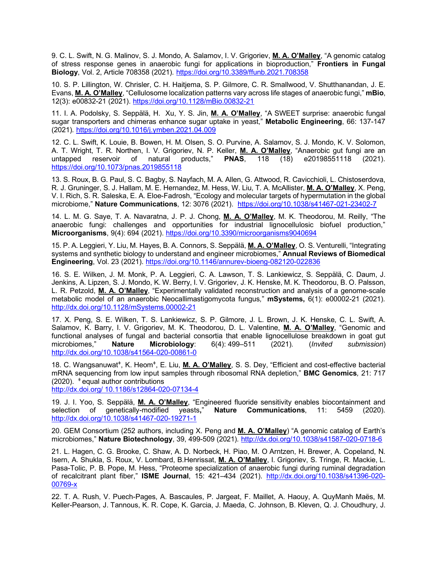9. C. L. Swift, N. G. Malinov, S. J. Mondo, A. Salamov, I. V. Grigoriev, **M. A. O'Malley**, "A genomic catalog of stress response genes in anaerobic fungi for applications in bioproduction," **Frontiers in Fungal Biology**, Vol. 2, Article 708358 (2021)*.* https://doi.org/10.3389/ffunb.2021.708358

10. S. P. Lillington, W. Chrisler, C. H. Haitjema, S. P. Gilmore, C. R. Smallwood, V. Shutthanandan, J. E. Evans, **M. A. O'Malley**, "Cellulosome localization patterns vary across life stages of anaerobic fungi," **mBio**, 12(3): e00832-21 (2021). https://doi.org/10.1128/mBio.00832-21

11. I. A. Podolsky, S. Seppälä, H. Xu, Y. S. Jin, **M. A. O'Malley**, "A SWEET surprise: anaerobic fungal sugar transporters and chimeras enhance sugar uptake in yeast," **Metabolic Engineering**, 66: 137-147 (2021)*.* https://doi.org/10.1016/j.ymben.2021.04.009

12. C. L. Swift, K. Louie, B. Bowen, H. M. Olsen, S. O. Purvine, A. Salamov, S. J. Mondo, K. V. Solomon, A. T. Wright, T. R. Northen, I. V. Grigoriev, N. P. Keller, **M. A. O'Malley**, "Anaerobic gut fungi are an untapped reservoir of natural products," **PNAS**, 118 (18) e20198551118 (2021). https://doi.org/10.1073/pnas.2019855118

13. S. Roux, B. G. Paul, S. C. Bagby, S. Nayfach, M. A. Allen, G. Attwood, R. Cavicchioli, L. Chistoserdova, R. J. Gruninger, S. J. Hallam, M. E. Hernandez, M. Hess, W. Liu, T. A. McAllister, **M. A. O'Malley**, X. Peng, V. I. Rich, S. R. Saleska, E. A. Eloe-Fadrosh, "Ecology and molecular targets of hypermutation in the global microbiome," **Nature Communications**, 12: 3076 (2021). https://doi.org/10.1038/s41467-021-23402-7

14. L. M. G. Saye, T. A. Navaratna, J. P. J. Chong, **M. A. O'Malley**, M. K. Theodorou, M. Reilly, "The anaerobic fungi: challenges and opportunities for industrial lignocellulosic biofuel production," **Microorganisms**, 9(4): 694 (2021). https://doi.org/10.3390/microorganisms9040694

15. P. A. Leggieri, Y. Liu, M. Hayes, B. A. Connors, S. Seppälä, **M. A. O'Malley**, O. S. Venturelli, "Integrating systems and synthetic biology to understand and engineer microbiomes," **Annual Reviews of Biomedical Engineering**, Vol. 23 (2021). https://doi.org/10.1146/annurev-bioeng-082120-022836

16. S. E. Wilken, J. M. Monk, P. A. Leggieri, C. A. Lawson, T. S. Lankiewicz, S. Seppälä, C. Daum, J. Jenkins, A. Lipzen, S. J. Mondo, K. W. Berry, I. V. Grigoriev, J. K. Henske, M. K. Theodorou, B. O. Palsson, L. R. Petzold, **M. A. O'Malley**, "Experimentally validated reconstruction and analysis of a genome-scale metabolic model of an anaerobic Neocallimastigomycota fungus*,*" **mSystems,** 6(1): e00002-21 (2021)*.*  http://dx.doi.org/10.1128/mSystems.00002-21

17. X. Peng, S. E. Wilken, T. S. Lankiewicz, S. P. Gilmore, J. L. Brown, J. K. Henske, C. L. Swift, A. Salamov, K. Barry, I. V. Grigoriev, M. K. Theodorou, D. L. Valentine, **M. A. O'Malley**, "Genomic and functional analyses of fungal and bacterial consortia that enable lignocellulose breakdown in goat gut microbiomes," **Nature Microbiology**: 6(4): 499–511 (2021)*.* (*Invited submission*) http://dx.doi.org/10.1038/s41564-020-00861-0

18. C. Wangsanuwat<sup>+</sup>, K. Heom<sup>+</sup>, E. Liu, *M. A. O'Malley*, S. S. Dey, "Efficient and cost-effective bacterial mRNA sequencing from low input samples through ribosomal RNA depletion," **BMC Genomics***,* 21: 717  $(2020)$ .  $\pm$  equal author contributions

http://dx.doi.org/ 10.1186/s12864-020-07134-4

19. J. I. Yoo, S. Seppälä, **M. A. O'Malley**, "Engineered fluoride sensitivity enables biocontainment and selection of genetically-modified yeasts**,**" **Nature Communications**, 11: 5459 (2020)*.* http://dx.doi.org/10.1038/s41467-020-19271-1

20. GEM Consortium (252 authors, including X. Peng and **M. A. O'Malley**) "A genomic catalog of Earth's microbiomes," **Nature Biotechnology**, 39, 499-509 (2021)*.* http://dx.doi.org/10.1038/s41587-020-0718-6

21. L. Hagen, C. G. Brooke, C. Shaw, A. D. Norbeck, H. Piao, M. O Arntzen, H. Brewer, A. Copeland, N. Isern, A. Shukla, S. Roux, V. Lombard, B.Henrissat, **M. A. O'Malley**, I. Grigoriev, S. Tringe, R. Mackie, L. Pasa-Tolic, P. B. Pope, M. Hess, "Proteome specialization of anaerobic fungi during ruminal degradation of recalcitrant plant fiber," **ISME Journal**, 15: 421–434 (2021). http://dx.doi.org/10.1038/s41396-020- 00769-x

22. T. A. Rush, V. Puech-Pages, A. Bascaules, P. Jargeat, F. Maillet, A. Haouy, A. QuyManh Maës, M. Keller-Pearson, J. Tannous, K. R. Cope, K. Garcia, J. Maeda, C. Johnson, B. Kleven, Q. J. Choudhury, J.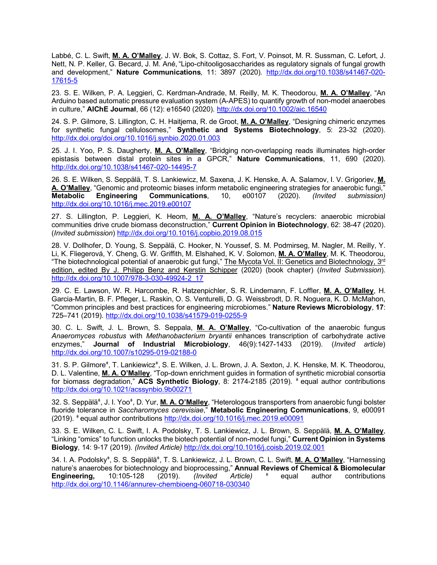Labbé, C. L. Swift, **M. A. O'Malley**, J. W. Bok, S. Cottaz, S. Fort, V. Poinsot, M. R. Sussman, C. Lefort, J. Nett, N. P. Keller, G. Becard, J. M. Ané, "Lipo-chitooligosaccharides as regulatory signals of fungal growth and development," **Nature Communications***,* 11: 3897 (2020)*.* http://dx.doi.org/10.1038/s41467-020- 17615-5

23. S. E. Wilken, P. A. Leggieri, C. Kerdman-Andrade, M. Reilly, M. K. Theodorou, **M. A. O'Malley**, "An Arduino based automatic pressure evaluation system (A-APES) to quantify growth of non-model anaerobes in culture," **AIChE Journal**, 66 (12): e16540 (2020)*.* http://dx.doi.org/10.1002/aic.16540

24. S. P. Gilmore, S. Lillington, C. H. Haitjema, R. de Groot, **M. A. O'Malley**, "Designing chimeric enzymes for synthetic fungal cellulosomes," **Synthetic and Systems Biotechnology**, 5: 23-32 (2020). http://dx.doi.org/doi.org/10.1016/j.synbio.2020.01.003

25. J. I. Yoo, P. S. Daugherty, **M. A. O'Malley**, "Bridging non-overlapping reads illuminates high-order epistasis between distal protein sites in a GPCR," **Nature Communications**, 11, 690 (2020). http://dx.doi.org/10.1038/s41467-020-14495-7

26. S. E. Wilken, S. Seppälä, T. S. Lankiewicz, M. Saxena, J. K. Henske, A. A. Salamov, I. V. Grigoriev, **M. A. O'Malley**, "Genomic and proteomic biases inform metabolic engineering strategies for anaerobic fungi," **Metabolic Engineering Communications**, 10, e00107 (2020). *(Invited submission)* http://dx.doi.org/10.1016/j.mec.2019.e00107

27. S. Lillington, P. Leggieri, K. Heom, **M. A. O'Malley**, "Nature's recyclers: anaerobic microbial communities drive crude biomass deconstruction," **Current Opinion in Biotechnology**, 62: 38-47 (2020). (*Invited submission*) http://dx.doi.org/10.1016/j.copbio.2019.08.015

28. V. Dollhofer, D. Young, S. Seppälä, C. Hooker, N. Youssef, S. M. Podmirseg, M. Nagler, M. Reilly, Y. Li, K. Fliegerová, Y. Cheng, G. W. Griffith, M. Elshahed, K. V. Solomon, **M. A. O'Malley**, M. K. Theodorou, "The biotechnological potential of anaerobic gut fungi," The Mycota Vol. II: Genetics and Biotechnology, 3<sup>rd</sup> edition, edited By J. Philipp Benz and Kerstin Schipper (2020) (book chapter) (*Invited Submission*)*.* http://dx.doi.org/10.1007/978-3-030-49924-2\_17

29. C. E. Lawson, W. R. Harcombe, R. Hatzenpichler, S. R. Lindemann, F. Loffler, **M. A. O'Malley**, H. Garcia-Martin, B. F. Pfleger, L. Raskin, O. S. Venturelli, D. G. Weissbrodt, D. R. Noguera, K. D. McMahon, "Common principles and best practices for engineering microbiomes." **Nature Reviews Microbiology**, **17**: 725–741 (2019). http://dx.doi.org/10.1038/s41579-019-0255-9

30. C. L. Swift, J. L. Brown, S. Seppala, **M. A. O'Malley**, "Co-cultivation of the anaerobic fungus *Anaeromyces robustus* with *Methanobacterium bryantii* enhances transcription of carbohydrate active enzymes," **Journal of Industrial Microbiology**, 46(9):1427-1433 (2019). (*Invited article*) http://dx.doi.org/10.1007/s10295-019-02188-0

31. S. P. Gilmore<sup>‡</sup>, T. Lankiewicz<sup>‡</sup>, S. E. Wilken, J. L. Brown, J. A. Sexton, J. K. Henske, M. K. Theodorou, D. L. Valentine, **M. A. O'Malley**, "Top-down enrichment guides in formation of synthetic microbial consortia for biomass degradation," **ACS Synthetic Biology**, 8: 2174-2185 (2019). ǂ equal author contributions http://dx.doi.org/10.1021/acssynbio.9b00271

32. S. Seppäläǂ, J. I. Yooǂ, D. Yur, **M. A. O'Malley**, "Heterologous transporters from anaerobic fungi bolster fluoride tolerance in *Saccharomyces cerevisiae*," **Metabolic Engineering Communications**, 9, e00091 (2019). ǂ equal author contributions http://dx.doi.org/10.1016/j.mec.2019.e00091

33. S. E. Wilken, C. L. Swift, I. A. Podolsky, T. S. Lankiewicz, J. L. Brown, S. Seppälä, **M. A. O'Malley**, "Linking "omics" to function unlocks the biotech potential of non-model fungi," **Current Opinion in Systems Biology**, 14: 9-17 (2019). *(Invited Article)* http://dx.doi.org/10.1016/j.coisb.2019.02.001

34. I. A. Podolsky<sup>‡</sup>, S. S. Seppälä<sup>‡</sup>, T. S. Lankiewicz, J. L. Brown, C. L. Swift, *M. A. O'Malley*, "Harnessing nature's anaerobes for biotechnology and bioprocessing," **Annual Reviews of Chemical & Biomolecular Engineering,** 10:105-128 (2019). *(Invited Article)* ǂ equal author contributions http://dx.doi.org/10.1146/annurev-chembioeng-060718-030340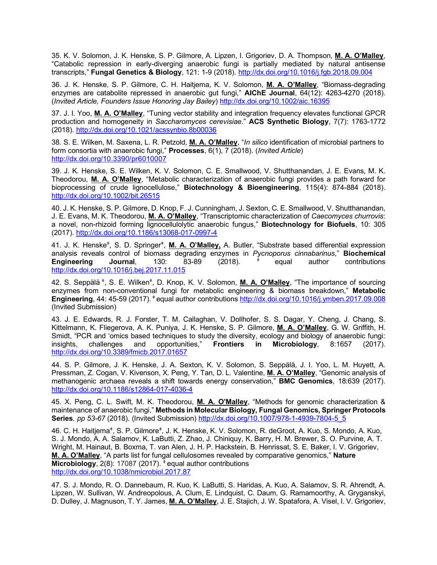35. K. V. Solomon, J. K. Henske, S. P. Gilmore, A. Lipzen, I. Grigoriev, D. A. Thompson, **M. A. O'Malley**, "Catabolic repression in early-diverging anaerobic fungi is partially mediated by natural antisense transcripts," **Fungal Genetics & Biology**, 121: 1-9 (2018). http://dx.doi.org/10.1016/j.fgb.2018.09.004

36. J. K. Henske, S. P. Gilmore, C. H. Haitjema, K. V. Solomon, **M. A. O'Malley**, "Biomass-degrading enzymes are catabolite repressed in anaerobic gut fungi," **AIChE Journal**, 64(12): 4263-4270 (2018). (*Invited Article, Founders Issue Honoring Jay Bailey*) http://dx.doi.org/10.1002/aic.16395

37. J. I. Yoo, **M. A. O'Malley**, "Tuning vector stability and integration frequency elevates functional GPCR production and homogeneity in *Saccharomyces cerevisiae*." **ACS Synthetic Biology**, 7(7): 1763-1772 (2018). http://dx.doi.org/10.1021/acssynbio.8b00036

38. S. E. Wilken, M. Saxena, L. R. Petzold, **M. A. O'Malley**, "*In silico* identification of microbial partners to form consortia with anaerobic fungi," **Processes**, 6(1), 7 (2018). (*Invited Article*) http://dx.doi.org/10.3390/pr6010007

39. J. K. Henske, S. E. Wilken, K. V. Solomon, C. E. Smallwood, V. Shutthanandan, J. E. Evans, M. K. Theodorou, **M. A. O'Malley**, "Metabolic characterization of anaerobic fungi provides a path forward for bioprocessing of crude lignocellulose," **Biotechnology & Bioengineering**, 115(4): 874-884 (2018). http://dx.doi.org/10.1002/bit.26515

40. J. K. Henske, S. P. Gilmore, D. Knop, F. J. Cunningham, J. Sexton, C. E. Smallwood, V. Shutthanandan, J. E. Evans, M. K. Theodorou, **M. A. O'Malley**, "Transcriptomic characterization of *Caecomyces churrovis*: a novel, non-rhizoid forming lignocellulolytic anaerobic fungus," **Biotechnology for Biofuels**, 10: 305 (2017). http://dx.doi.org/10.1186/s13068-017-0997-4

41. J. K. Henske<sup>‡</sup>, S. D. Springer<sup>‡</sup>, **M. A. O'Malley,** A. Butler, "Substrate based differential expression analysis reveals control of biomass degrading enzymes in *Pycnoporus cinnabarinus*," **Biochemical Engineering Journal***,* 130: 83-89 (2018). ǂ equal author contributions http://dx.doi.org/10.1016/j.bej.2017.11.015

42. S. Seppälä<sup>\*</sup>, S. E. Wilken<sup>\*</sup>, D. Knop, K. V. Solomon, M. A. O'Malley, "The importance of sourcing enzymes from non-conventional fungi for metabolic engineering & biomass breakdown," **Metabolic Engineering**, 44: 45-59 (2017). ǂ equal author contributions http://dx.doi.org/10.1016/j.ymben.2017.09.008 (Invited Submission)

43. J. E. Edwards, R. J. Forster, T. M. Callaghan, V. Dollhofer, S. S. Dagar, Y. Cheng, J. Chang, S. Kittelmann, K. Fliegerova, A. K. Puniya, J. K. Henske, S. P. Gilmore, **M. A. O'Malley**, G. W. Griffith, H. Smidt, "PCR and 'omics based techniques to study the diversity, ecology and biology of anaerobic fungi: insights, challenges and opportunities," **Frontiers in Microbiology**, 8:1657 (2017). http://dx.doi.org/10.3389/fmicb.2017.01657

44. S. P. Gilmore, J. K. Henske, J. A. Sexton, K. V. Solomon, S. Seppälä, J. I. Yoo, L. M. Huyett, A. Pressman, Z. Cogan, V. Kivenson, X. Peng, Y. Tan, D. L. Valentine, **M. A. O'Malley**, "Genomic analysis of methanogenic archaea reveals a shift towards energy conservation," **BMC Genomics**, 18:639 (2017). http://dx.doi.org/10.1186/s12864-017-4036-4

45. X. Peng, C. L. Swift, M. K. Theodorou, **M. A. O'Malley**, "Methods for genomic characterization & maintenance of anaerobic fungi," **Methods in Molecular Biology, Fungal Genomics, Springer Protocols Series***. pp 53-67* (2018)*.* (Invited Submission) http://dx.doi.org/10.1007/978-1-4939-7804-5\_5

46. C. H. Haitjema<sup>‡</sup>, S. P. Gilmore<sup>‡</sup>, J. K. Henske, K. V. Solomon, R. deGroot, A. Kuo, S. Mondo, A. Kuo, S. J. Mondo, A. A. Salamov, K. LaButti, Z. Zhao, J. Chiniquy, K. Barry, H. M. Brewer, S. O. Purvine, A. T. Wright, M. Hainaut, B. Boxma, T. van Alen, J. H. P. Hackstein, B. Henrissat, S. E. Baker, I. V. Grigoriev, **M. A. O'Malley**, "A parts list for fungal cellulosomes revealed by comparative genomics," **Nature Microbiology**, 2(8): 17087 (2017). <sup> $#$ </sup> equal author contributions http://dx.doi.org/10.1038/nmicrobiol.2017.87

47. S. J. Mondo, R. O. Dannebaum, R. Kuo, K. LaButti, S. Haridas, A. Kuo, A. Salamov, S. R. Ahrendt, A. Lipzen, W. Sullivan, W. Andreopolous, A. Clum, E. Lindquist, C. Daum, G. Ramamoorthy, A. Gryganskyi, D. Dulley, J. Magnuson, T. Y. James, **M. A. O'Malley**, J. E. Stajich, J. W. Spatafora, A. Visel, I. V. Grigoriev,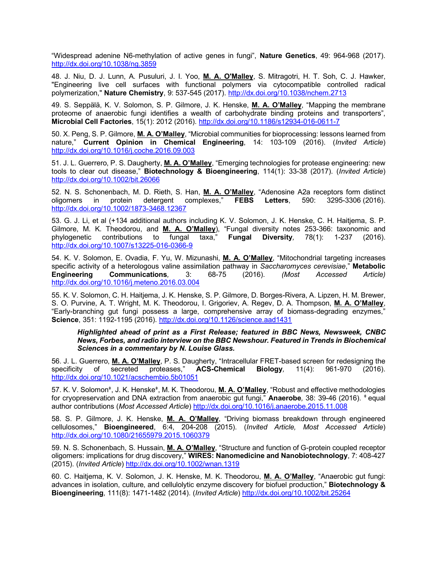"Widespread adenine N6-methylation of active genes in fungi", **Nature Genetics**, 49: 964-968 (2017). http://dx.doi.org/10.1038/ng.3859

48. J. Niu, D. J. Lunn, A. Pusuluri, J. I. Yoo, **M. A. O'Malley**, S. Mitragotri, H. T. Soh, C. J. Hawker, "Engineering live cell surfaces with functional polymers via cytocompatible controlled radical polymerization," **Nature Chemistry**, 9: 537-545 (2017). http://dx.doi.org/10.1038/nchem.2713

49. S. Seppälä, K. V. Solomon, S. P. Gilmore, J. K. Henske, **M. A. O'Malley**, "Mapping the membrane proteome of anaerobic fungi identifies a wealth of carbohydrate binding proteins and transporters", **Microbial Cell Factories**, 15(1): 2012 (2016). http://dx.doi.org/10.1186/s12934-016-0611-7

50. X. Peng, S. P. Gilmore, **M. A. O'Malley**, "Microbial communities for bioprocessing: lessons learned from nature," **Current Opinion in Chemical Engineering**, 14: 103-109 (2016). (*Invited Article*) http://dx.doi.org/10.1016/j.coche.2016.09.003

51. J. L. Guerrero, P. S. Daugherty, **M. A. O'Malley**, "Emerging technologies for protease engineering: new tools to clear out disease," **Biotechnology & Bioengineering**, 114(1): 33-38 (2017). (*Invited Article*) http://dx.doi.org/10.1002/bit.26066

52. N. S. Schonenbach, M. D. Rieth, S. Han, **M. A. O'Malley**, "Adenosine A2a receptors form distinct oligomers in protein detergent complexes," **FEBS Letters**, 590: 3295-3306 (2016). http://dx.doi.org/10.1002/1873-3468.12367

53. G. J. Li, et al (+134 additional authors including K. V. Solomon, J. K. Henske, C. H. Haitjema, S. P. Gilmore, M. K. Theodorou, and **M. A. O'Malley**), "Fungal diversity notes 253-366: taxonomic and phylogenetic contributions to fungal taxa," **Fungal Diversity***,* 78(1): 1-237 (2016). http://dx.doi.org/10.1007/s13225-016-0366-9

54. K. V. Solomon, E. Ovadia, F. Yu, W. Mizunashi, **M. A. O'Malley**, "Mitochondrial targeting increases specific activity of a heterologous valine assimilation pathway in *Saccharomyces cerevisiae*," **Metabolic Engineering Communications***,* 3: 68-75 (2016). *(Most Accessed Article)* http://dx.doi.org/10.1016/j.meteno.2016.03.004

55. K. V. Solomon, C. H. Haitjema, J. K. Henske, S. P. Gilmore, D. Borges-Rivera, A. Lipzen, H. M. Brewer, S. O. Purvine, A. T. Wright, M. K. Theodorou, I. Grigoriev, A. Regev, D. A. Thompson, **M. A. O'Malley**, "Early-branching gut fungi possess a large, comprehensive array of biomass-degrading enzymes," **Science**, 351: 1192-1195 (2016). http://dx.doi.org/10.1126/science.aad1431

*Highlighted ahead of print as a First Release; featured in BBC News, Newsweek, CNBC News, Forbes, and radio interview on the BBC Newshour. Featured in Trends in Biochemical Sciences in a commentary by N. Louise Glass.*

56. J. L. Guerrero, **M. A. O'Malley**, P. S. Daugherty, "Intracellular FRET-based screen for redesigning the specificity of secreted proteases," **ACS-Chemical Biology***,* 11(4): 961-970 (2016). http://dx.doi.org/10.1021/acschembio.5b01051

57. K. V. Solomonǂ, J. K. Henskeǂ, M. K. Theodorou, **M. A. O'Malley**, "Robust and effective methodologies for cryopreservation and DNA extraction from anaerobic gut fungi," **Anaerobe***,* 38: 39-46 (2016). ǂ equal author contributions (*Most Accessed Article*) http://dx.doi.org/10.1016/j.anaerobe.2015.11.008

58. S. P. Gilmore, J. K. Henske, **M. A. O'Malley**, "Driving biomass breakdown through engineered cellulosomes," **Bioengineered**, 6:4, 204-208 (2015). (*Invited Article, Most Accessed Article*) http://dx.doi.org/10.1080/21655979.2015.1060379

59. N. S. Schonenbach, S. Hussain, **M. A. O'Malley**, "Structure and function of G-protein coupled receptor oligomers: implications for drug discovery," **WIRES: Nanomedicine and Nanobiotechnology**, 7: 408-427 (2015). (*Invited Article*) http://dx.doi.org/10.1002/wnan.1319

60. C. Haitjema, K. V. Solomon, J. K. Henske, M. K. Theodorou, **M. A. O'Malley**, "Anaerobic gut fungi: advances in isolation, culture, and cellulolytic enzyme discovery for biofuel production," **Biotechnology & Bioengineering***,* 111(8): 1471-1482 (2014). (*Invited Article*) http://dx.doi.org/10.1002/bit.25264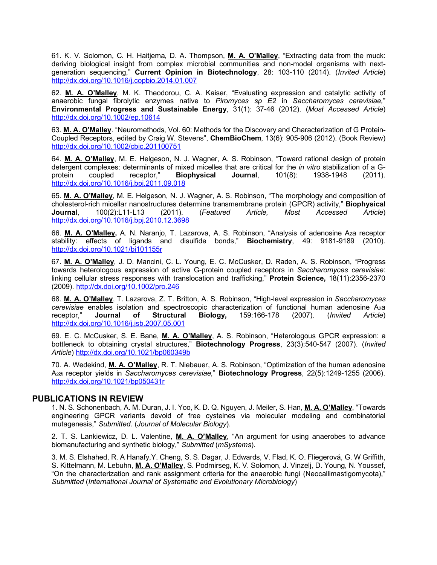61. K. V. Solomon, C. H. Haitjema, D. A. Thompson, **M. A. O'Malley**, "Extracting data from the muck: deriving biological insight from complex microbial communities and non-model organisms with nextgeneration sequencing," **Current Opinion in Biotechnology**, 28: 103-110 (2014). (*Invited Article*) http://dx.doi.org/10.1016/j.copbio.2014.01.007

62. **M. A. O'Malley**, M. K. Theodorou, C. A. Kaiser, "Evaluating expression and catalytic activity of anaerobic fungal fibrolytic enzymes native to *Piromyces sp E2* in *Saccharomyces cerevisiae,*" **Environmental Progress and Sustainable Energy**, 31(1): 37-46 (2012). (*Most Accessed Article*) http://dx.doi.org/10.1002/ep.10614

63. **M. A. O'Malley**. "Neuromethods, Vol. 60: Methods for the Discovery and Characterization of G Protein-Coupled Receptors, edited by Craig W. Stevens", **ChemBioChem**, 13(6): 905-906 (2012). (Book Review) http://dx.doi.org/10.1002/cbic.201100751

64. **M. A. O'Malley**, M. E. Helgeson, N. J. Wagner, A. S. Robinson, "Toward rational design of protein detergent complexes: determinants of mixed micelles that are critical for the *in vitro* stabilization of a Gprotein coupled receptor," **Biophysical Journal**, 101(8): 1938-1948 (2011). http://dx.doi.org/10.1016/j.bpj.2011.09.018

65. **M. A. O'Malley**, M. E. Helgeson, N. J. Wagner, A. S. Robinson, "The morphology and composition of cholesterol-rich micellar nanostructures determine transmembrane protein (GPCR) activity," **Biophysical Journal**, 100(2):L11-L13 (2011). (*Featured Article, Most Accessed Article*) http://dx.doi.org/10.1016/j.bpj.2010.12.3698

66. **M. A. O'Malley,** A. N. Naranjo, T. Lazarova, A. S. Robinson, "Analysis of adenosine A2a receptor stability: effects of ligands and disulfide bonds," **Biochemistry**, 49: 9181-9189 (2010). http://dx.doi.org/10.1021/bi101155r

67. **M. A. O'Malley**, J. D. Mancini, C. L. Young, E. C. McCusker, D. Raden, A. S. Robinson, "Progress towards heterologous expression of active G-protein coupled receptors in *Saccharomyces cerevisiae*: linking cellular stress responses with translocation and trafficking," **Protein Science,** 18(11):2356-2370 (2009). http://dx.doi.org/10.1002/pro.246

68. **M. A. O'Malley**, T. Lazarova, Z. T. Britton, A. S. Robinson, "High-level expression in *Saccharomyces cerevisiae* enables isolation and spectroscopic characterization of functional human adenosine A2a receptor," **Journal of Structural Biology,** 159:166-178 (2007). (*Invited Article*) http://dx.doi.org/10.1016/j.jsb.2007.05.001

69. E. C. McCusker, S. E. Bane, **M. A. O'Malley**, A. S. Robinson, "Heterologous GPCR expression: a bottleneck to obtaining crystal structures," **Biotechnology Progress**, 23(3):540-547 (2007). (*Invited Article*) http://dx.doi.org/10.1021/bp060349b

70. A. Wedekind, **M. A. O'Malley**, R. T. Niebauer, A. S. Robinson, "Optimization of the human adenosine A2a receptor yields in *Saccharomyces cerevisiae,*" **Biotechnology Progress**, 22(5):1249-1255 (2006). http://dx.doi.org/10.1021/bp050431r

## **PUBLICATIONS IN REVIEW**

1. N. S. Schonenbach, A. M. Duran, J. I. Yoo, K. D. Q. Nguyen, J. Meiler, S. Han, **M. A. O'Malley**, "Towards engineering GPCR variants devoid of free cysteines via molecular modeling and combinatorial mutagenesis," *Submitted*. (*Journal of Molecular Biology*).

2. T. S. Lankiewicz, D. L. Valentine, **M. A. O'Malley**, "An argument for using anaerobes to advance biomanufacturing and synthetic biology," *Submitted* (*mSystems*).

3. M. S. Elshahed, R. A Hanafy,Y. Cheng, S. S. Dagar, J. Edwards, V. Flad, K. O. Fliegerová, G. W Griffith, S. Kittelmann, M. Lebuhn, **M. A. O'Malley**, S. Podmirseg, K. V. Solomon, J. Vinzelj, D. Young, N. Youssef, "On the characterization and rank assignment criteria for the anaerobic fungi (Neocallimastigomycota)," *Submitted* (*International Journal of Systematic and Evolutionary Microbiology*)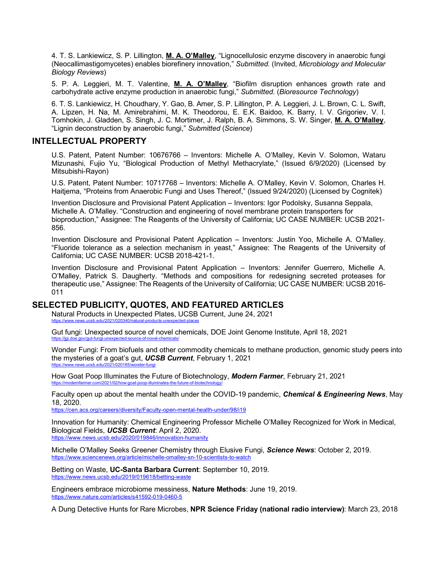4. T. S. Lankiewicz, S. P. Lillington, **M. A. O'Malley**, "Lignocellulosic enzyme discovery in anaerobic fungi (Neocallimastigomycetes) enables biorefinery innovation," *Submitted*. (Invited, *Microbiology and Molecular Biology Reviews*)

5. P. A. Leggieri, M. T. Valentine, **M. A. O'Malley**, "Biofilm disruption enhances growth rate and carbohydrate active enzyme production in anaerobic fungi," *Submitted*. (*Bioresource Technology*)

6. T. S. Lankiewicz, H. Choudhary, Y. Gao, B. Amer, S. P. Lillington, P. A. Leggieri, J. L. Brown, C. L. Swift, A. Lipzen, H. Na, M. Amirebrahimi, M. K. Theodorou, E. E.K. Baidoo, K. Barry, I. V. Grigoriev, V. I. Tomhokin, J. Gladden, S. Singh, J. C. Mortimer, J. Ralph, B. A. Simmons, S. W. Singer, **M. A. O'Malley**, "Lignin deconstruction by anaerobic fungi," *Submitted* (*Science*)

# **INTELLECTUAL PROPERTY**

U.S. Patent, Patent Number: 10676766 – Inventors: Michelle A. O'Malley, Kevin V. Solomon, Wataru Mizunashi, Fujio Yu, "Biological Production of Methyl Methacrylate," (Issued 6/9/2020) (Licensed by Mitsubishi-Rayon)

U.S. Patent, Patent Number: 10717768 – Inventors: Michelle A. O'Malley, Kevin V. Solomon, Charles H. Haitjema, "Proteins from Anaerobic Fungi and Uses Thereof," (Issued 9/24/2020) (Licensed by Cognitek)

Invention Disclosure and Provisional Patent Application – Inventors: Igor Podolsky, Susanna Seppala, Michelle A. O'Malley. "Construction and engineering of novel membrane protein transporters for bioproduction," Assignee: The Reagents of the University of California; UC CASE NUMBER: UCSB 2021- 856.

Invention Disclosure and Provisional Patent Application – Inventors: Justin Yoo, Michelle A. O'Malley. "Fluoride tolerance as a selection mechanism in yeast," Assignee: The Reagents of the University of California; UC CASE NUMBER: UCSB 2018-421-1.

Invention Disclosure and Provisional Patent Application – Inventors: Jennifer Guerrero, Michelle A. O'Malley, Patrick S. Daugherty. "Methods and compositions for redesigning secreted proteases for therapeutic use," Assignee: The Reagents of the University of California; UC CASE NUMBER: UCSB 2016- 011

## **SELECTED PUBLICITY, QUOTES, AND FEATURED ARTICLES**

Natural Products in Unexpected Plates, UCSB Current, June 24, 2021 https://www.news.ucsb.edu/2021/020340/natural-produ

Gut fungi: Unexpected source of novel chemicals, DOE Joint Genome Institute, April 18, 2021 https://jgi.doe.gov/gut-fungi-unexpected-source-of-novel-chemicals/

Wonder Fungi: From biofuels and other commodity chemicals to methane production, genomic study peers into the mysteries of a goat's gut, *UCSB Current*, February 1, 2021 https://www.news

How Goat Poop Illuminates the Future of Biotechnology, *Modern Farmer*, February 21, 2021 https://modernfarmer.com/2021/02/how-goat-poop-illuminates-the-future-of-biotechnology/

Faculty open up about the mental health under the COVID-19 pandemic, *Chemical & Engineering News*, May 18, 2020.

https://cen.acs.org/careers/diversity/Faculty-open-mental-health-under/98/i19

Innovation for Humanity: Chemical Engineering Professor Michelle O'Malley Recognized for Work in Medical, Biological Fields, *UCSB Current*: April 2, 2020. https://www.news.ucsb.edu/2020/019846/innovation-humanity

Michelle O'Malley Seeks Greener Chemistry through Elusive Fungi, *Science News*: October 2, 2019. https://www.sciencenews.org/article/michelle-omalley-sn-10-scientists-to-watch

Betting on Waste, **UC-Santa Barbara Current**: September 10, 2019. https://www.news.ucsb.edu/2019/019618/betting-waste

Engineers embrace microbiome messiness, **Nature Methods**: June 19, 2019. https://www.nature.com/articles/s41592-019-0460-5

A Dung Detective Hunts for Rare Microbes, **NPR Science Friday (national radio interview)**: March 23, 2018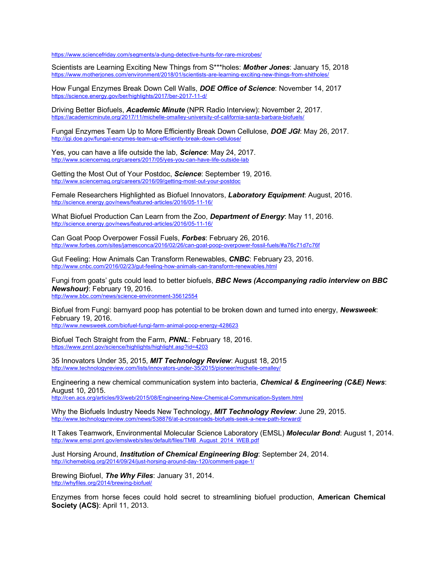https://www.sciencefriday.com/segments/a-dung-detective-hunts-for-rare-microbes/

Scientists are Learning Exciting New Things from S\*\*\*holes: *Mother Jones*: January 15, 2018 https://www.motherjones.com/environment/2018/01/scientists-are-learning-exciting-new-things-from-shitholes/

How Fungal Enzymes Break Down Cell Walls, *DOE Office of Science*: November 14, 2017 https://science.energy.gov/ber/highlights/2017/ber-2017-11-d/

Driving Better Biofuels, *Academic Minute* (NPR Radio Interview): November 2, 2017. https://academicminute.org/2017/11/michelle-omalley-university-of-california-santa-barbara-biofuels/

Fungal Enzymes Team Up to More Efficiently Break Down Cellulose, *DOE JGI*: May 26, 2017. http://jgi.doe.gov/fungal-enzymes-team-up-efficiently-break-down-cellulose/

Yes, you can have a life outside the lab, *Science*: May 24, 2017. http://www.sciencemag.org/careers/2017/05/yes-you-can-have-life-outside-lab

Getting the Most Out of Your Postdoc, *Science*: September 19, 2016. http://www.sciencemag.org/careers/2016/09/getting-most-out-your-postdoc

Female Researchers Highlighted as Biofuel Innovators, *Laboratory Equipment*: August, 2016. http://science.energy.gov/news/featured-articles/2016/05-11-16/

What Biofuel Production Can Learn from the Zoo, *Department of Energy*: May 11, 2016. http://science.energy.gov/news/featured-articles/2016/05-11-16/

Can Goat Poop Overpower Fossil Fuels, *Forbes*: February 26, 2016. http://www.forbes.com/sites/jamesconca/2016/02/26/can-goat-poop-overpower-fossil-fuels/#a76c71d7c76f

Gut Feeling: How Animals Can Transform Renewables, *CNBC*: February 23, 2016. http://www.cnbc.com/2016/02/23/gut-feeling-how-animals-can-transform-renewables.html

Fungi from goats' guts could lead to better biofuels, *BBC News (Accompanying radio interview on BBC Newshour)*: February 19, 2016. http://www.bbc.com/news/science-environment-35612554

Biofuel from Fungi: barnyard poop has potential to be broken down and turned into energy, *Newsweek*: February 19, 2016.

http://www.newsweek.com/biofuel-fungi-farm-animal-poop-energy-428623

Biofuel Tech Straight from the Farm, *PNNL*: February 18, 2016. https://www.pnnl.gov/science/highlights/highlight.asp?id=4203

35 Innovators Under 35, 2015, *MIT Technology Review*: August 18, 2015 http://www.technologyreview.com/lists/innovators-under-35/2015/pioneer/michelle-omalley/

Engineering a new chemical communication system into bacteria, *Chemical & Engineering (C&E) News*: August 10, 2015. http://cen.acs.org/articles/93/web/2015/08/Engineering-New-Chemical-Communication-System.html

Why the Biofuels Industry Needs New Technology, *MIT Technology Review*: June 29, 2015.

http://www.technologyreview.com/news/538876/at-a-crossroads-biofuels-seek-a-new-path-forward/

It Takes Teamwork, Environmental Molecular Science Laboratory (EMSL) *Molecular Bond*: August 1, 2014. http://www.emsl.pnnl.gov/emslweb/sites/default/files/TMB\_August\_2014\_WEB.pdf

Just Horsing Around, *Institution of Chemical Engineering Blog*: September 24, 2014. http://ichemeblog.org/2014/09/24/just-horsing-around-day-120/comment-page-1/

Brewing Biofuel, *The Why Files*: January 31, 2014. http://whyfiles.org/2014/brewing-biofuel/

Enzymes from horse feces could hold secret to streamlining biofuel production, **American Chemical Society (ACS)**: April 11, 2013.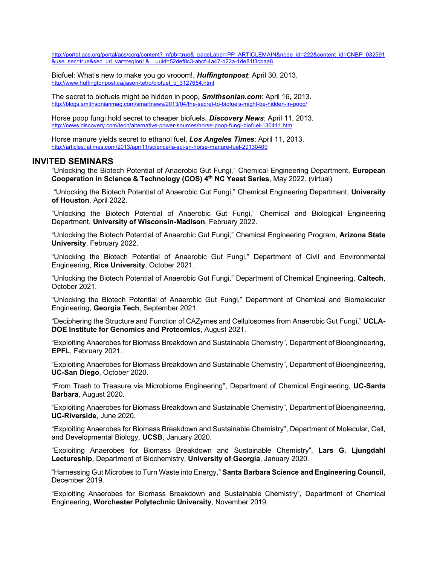http://portal.acs.org/portal/acs/corg/content?\_nfpb=true&\_pageLabel=PP\_ARTICLEMAIN&node\_id=222&content\_id=CNBP\_032591 &use\_sec=true&sec\_url\_var=region1&\_\_uuid=52def8c3-abcf-4a47-b22a-1de81f3cbaa8

Biofuel: What's new to make you go vrooom!, *Huffingtonpost*: April 30, 2013. http://www.huffingtonpost.ca/jason-tetro/biofuel\_b\_3127654.html

The secret to biofuels might be hidden in poop, *Smithsonian.com*: April 16, 2013. http://blogs.smithsonianmag.com/smartnews/2013/04/the-secret-to-biofuels-might-be-hidden-in-poop/

Horse poop fungi hold secret to cheaper biofuels, *Discovery News*: April 11, 2013. http://news.discovery.com/tech/alternative-power-sources/horse-poop-fungi-biofuel-130411.htm

Horse manure yields secret to ethanol fuel, *Los Angeles Times*: April 11, 2013. http://articles.latimes.com/2013/apr/11/science/la-sci-sn-horse-manure-fuel-20130409

#### **INVITED SEMINARS**

"Unlocking the Biotech Potential of Anaerobic Gut Fungi," Chemical Engineering Department, **European Cooperation in Science & Technology (COS) 4th NC Yeast Series**, May 2022. (virtual)

"Unlocking the Biotech Potential of Anaerobic Gut Fungi," Chemical Engineering Department, **University of Houston**, April 2022.

"Unlocking the Biotech Potential of Anaerobic Gut Fungi," Chemical and Biological Engineering Department, **University of Wisconsin-Madison**, February 2022.

"Unlocking the Biotech Potential of Anaerobic Gut Fungi," Chemical Engineering Program, **Arizona State University**, February 2022.

"Unlocking the Biotech Potential of Anaerobic Gut Fungi," Department of Civil and Environmental Engineering, **Rice University**, October 2021.

"Unlocking the Biotech Potential of Anaerobic Gut Fungi," Department of Chemical Engineering, **Caltech**, October 2021.

"Unlocking the Biotech Potential of Anaerobic Gut Fungi," Department of Chemical and Biomolecular Engineering, **Georgia Tech**, September 2021.

"Deciphering the Structure and Function of CAZymes and Cellulosomes from Anaerobic Gut Fungi," **UCLA-DOE Institute for Genomics and Proteomics**, August 2021.

"Exploiting Anaerobes for Biomass Breakdown and Sustainable Chemistry", Department of Bioengineering, **EPFL**, February 2021.

"Exploiting Anaerobes for Biomass Breakdown and Sustainable Chemistry", Department of Bioengineering, **UC-San Diego**, October 2020.

"From Trash to Treasure via Microbiome Engineering", Department of Chemical Engineering, **UC-Santa Barbara**, August 2020.

"Exploiting Anaerobes for Biomass Breakdown and Sustainable Chemistry", Department of Bioengineering, **UC-Riverside**, June 2020.

"Exploiting Anaerobes for Biomass Breakdown and Sustainable Chemistry", Department of Molecular, Cell, and Developmental Biology, **UCSB**, January 2020.

"Exploiting Anaerobes for Biomass Breakdown and Sustainable Chemistry", **Lars G. Ljungdahl Lectureship**, Department of Biochemistry, **University of Georgia**, January 2020.

"Harnessing Gut Microbes to Turn Waste into Energy," **Santa Barbara Science and Engineering Council**, December 2019.

"Exploiting Anaerobes for Biomass Breakdown and Sustainable Chemistry", Department of Chemical Engineering, **Worchester Polytechnic University**, November 2019.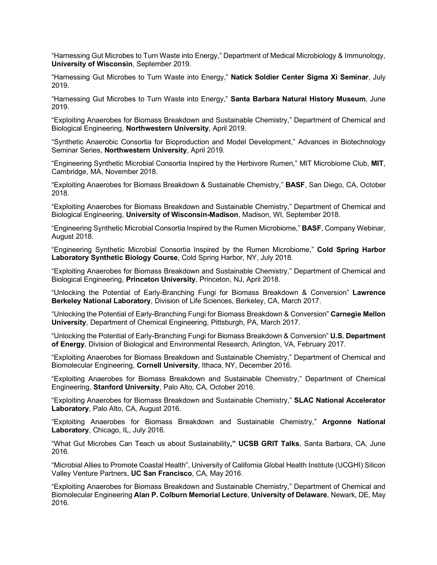"Harnessing Gut Microbes to Turn Waste into Energy," Department of Medical Microbiology & Immunology, **University of Wisconsin**, September 2019.

"Harnessing Gut Microbes to Turn Waste into Energy," **Natick Soldier Center Sigma Xi Seminar**, July 2019.

"Harnessing Gut Microbes to Turn Waste into Energy," **Santa Barbara Natural History Museum**, June 2019.

"Exploiting Anaerobes for Biomass Breakdown and Sustainable Chemistry," Department of Chemical and Biological Engineering, **Northwestern University**, April 2019.

"Synthetic Anaerobic Consortia for Bioproduction and Model Development," Advances in Biotechnology Seminar Series, **Northwestern University**, April 2019.

"Engineering Synthetic Microbial Consortia Inspired by the Herbivore Rumen," MIT Microbiome Club, **MIT**, Cambridge, MA, November 2018.

"Exploiting Anaerobes for Biomass Breakdown & Sustainable Chemistry," **BASF**, San Diego, CA, October 2018.

"Exploiting Anaerobes for Biomass Breakdown and Sustainable Chemistry," Department of Chemical and Biological Engineering, **University of Wisconsin-Madison**, Madison, WI, September 2018.

"Engineering Synthetic Microbial Consortia Inspired by the Rumen Microbiome," **BASF**, Company Webinar, August 2018.

"Engineering Synthetic Microbial Consortia Inspired by the Rumen Microbiome," **Cold Spring Harbor Laboratory Synthetic Biology Course**, Cold Spring Harbor, NY, July 2018.

"Exploiting Anaerobes for Biomass Breakdown and Sustainable Chemistry," Department of Chemical and Biological Engineering, **Princeton University**, Princeton, NJ, April 2018.

"Unlocking the Potential of Early-Branching Fungi for Biomass Breakdown & Conversion" **Lawrence Berkeley National Laboratory**, Division of Life Sciences, Berkeley, CA, March 2017.

"Unlocking the Potential of Early-Branching Fungi for Biomass Breakdown & Conversion" **Carnegie Mellon University**, Department of Chemical Engineering, Pittsburgh, PA, March 2017.

"Unlocking the Potential of Early-Branching Fungi for Biomass Breakdown & Conversion" **U.S. Department of Energy**, Division of Biological and Environmental Research, Arlington, VA, February 2017.

"Exploiting Anaerobes for Biomass Breakdown and Sustainable Chemistry," Department of Chemical and Biomolecular Engineering, **Cornell University**, Ithaca, NY, December 2016.

"Exploiting Anaerobes for Biomass Breakdown and Sustainable Chemistry," Department of Chemical Engineering, **Stanford University**, Palo Alto, CA, October 2016.

"Exploiting Anaerobes for Biomass Breakdown and Sustainable Chemistry," **SLAC National Accelerator Laboratory**, Palo Alto, CA, August 2016.

"Exploiting Anaerobes for Biomass Breakdown and Sustainable Chemistry," **Argonne National Laboratory**, Chicago, IL, July 2016.

"What Gut Microbes Can Teach us about Sustainability**," UCSB GRIT Talks**, Santa Barbara, CA, June 2016.

"Microbial Allies to Promote Coastal Health", University of California Global Health Institute (UCGHI) Silicon Valley Venture Partners, **UC San Francisco**, CA, May 2016.

"Exploiting Anaerobes for Biomass Breakdown and Sustainable Chemistry," Department of Chemical and Biomolecular Engineering **Alan P. Colburn Memorial Lecture**, **University of Delaware**, Newark, DE, May 2016.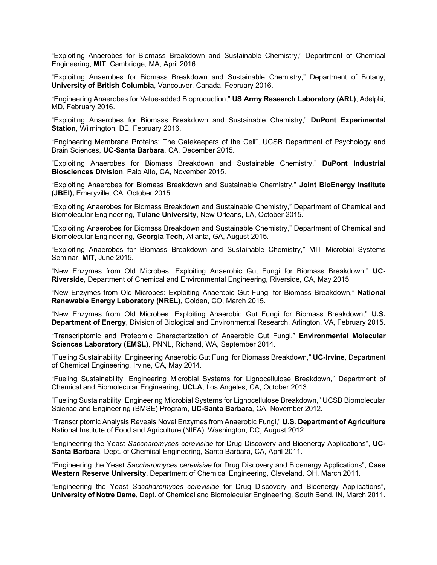"Exploiting Anaerobes for Biomass Breakdown and Sustainable Chemistry," Department of Chemical Engineering, **MIT**, Cambridge, MA, April 2016.

"Exploiting Anaerobes for Biomass Breakdown and Sustainable Chemistry," Department of Botany, **University of British Columbia**, Vancouver, Canada, February 2016.

"Engineering Anaerobes for Value-added Bioproduction," **US Army Research Laboratory (ARL)**, Adelphi, MD, February 2016.

"Exploiting Anaerobes for Biomass Breakdown and Sustainable Chemistry," **DuPont Experimental Station**, Wilmington, DE, February 2016.

"Engineering Membrane Proteins: The Gatekeepers of the Cell", UCSB Department of Psychology and Brain Sciences, **UC-Santa Barbara**, CA, December 2015.

"Exploiting Anaerobes for Biomass Breakdown and Sustainable Chemistry," **DuPont Industrial Biosciences Division**, Palo Alto, CA, November 2015.

"Exploiting Anaerobes for Biomass Breakdown and Sustainable Chemistry," **Joint BioEnergy Institute (JBEI),** Emeryville, CA, October 2015.

"Exploiting Anaerobes for Biomass Breakdown and Sustainable Chemistry," Department of Chemical and Biomolecular Engineering, **Tulane University**, New Orleans, LA, October 2015.

"Exploiting Anaerobes for Biomass Breakdown and Sustainable Chemistry," Department of Chemical and Biomolecular Engineering, **Georgia Tech**, Atlanta, GA, August 2015.

"Exploiting Anaerobes for Biomass Breakdown and Sustainable Chemistry," MIT Microbial Systems Seminar, **MIT**, June 2015.

"New Enzymes from Old Microbes: Exploiting Anaerobic Gut Fungi for Biomass Breakdown," **UC-Riverside**, Department of Chemical and Environmental Engineering, Riverside, CA, May 2015.

"New Enzymes from Old Microbes: Exploiting Anaerobic Gut Fungi for Biomass Breakdown," **National Renewable Energy Laboratory (NREL)**, Golden, CO, March 2015.

"New Enzymes from Old Microbes: Exploiting Anaerobic Gut Fungi for Biomass Breakdown," **U.S. Department of Energy**, Division of Biological and Environmental Research, Arlington, VA, February 2015.

"Transcriptomic and Proteomic Characterization of Anaerobic Gut Fungi," **Environmental Molecular Sciences Laboratory (EMSL)**, PNNL, Richand, WA, September 2014.

"Fueling Sustainability: Engineering Anaerobic Gut Fungi for Biomass Breakdown," **UC-Irvine**, Department of Chemical Engineering, Irvine, CA, May 2014.

"Fueling Sustainability: Engineering Microbial Systems for Lignocellulose Breakdown," Department of Chemical and Biomolecular Engineering, **UCLA**, Los Angeles, CA, October 2013.

"Fueling Sustainability: Engineering Microbial Systems for Lignocellulose Breakdown," UCSB Biomolecular Science and Engineering (BMSE) Program, **UC-Santa Barbara**, CA, November 2012.

"Transcriptomic Analysis Reveals Novel Enzymes from Anaerobic Fungi," **U.S. Department of Agriculture** National Institute of Food and Agriculture (NIFA), Washington, DC, August 2012.

"Engineering the Yeast *Saccharomyces cerevisiae* for Drug Discovery and Bioenergy Applications", **UC-Santa Barbara**, Dept. of Chemical Engineering, Santa Barbara, CA, April 2011.

"Engineering the Yeast *Saccharomyces cerevisiae* for Drug Discovery and Bioenergy Applications", **Case Western Reserve University**, Department of Chemical Engineering, Cleveland, OH, March 2011.

"Engineering the Yeast *Saccharomyces cerevisiae* for Drug Discovery and Bioenergy Applications", **University of Notre Dame**, Dept. of Chemical and Biomolecular Engineering, South Bend, IN, March 2011.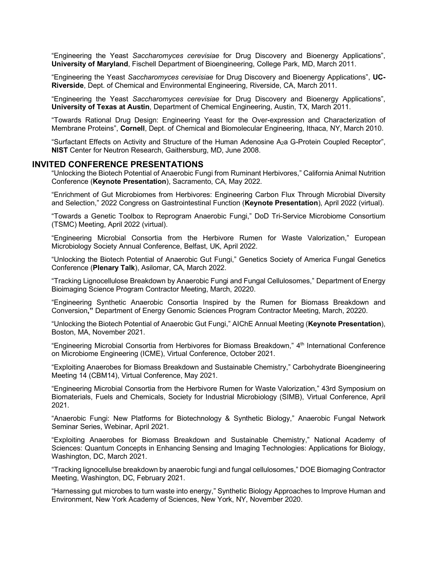"Engineering the Yeast *Saccharomyces cerevisiae* for Drug Discovery and Bioenergy Applications", **University of Maryland**, Fischell Department of Bioengineering, College Park, MD, March 2011.

"Engineering the Yeast *Saccharomyces cerevisiae* for Drug Discovery and Bioenergy Applications", **UC-Riverside**, Dept. of Chemical and Environmental Engineering, Riverside, CA, March 2011.

"Engineering the Yeast *Saccharomyces cerevisiae* for Drug Discovery and Bioenergy Applications", **University of Texas at Austin**, Department of Chemical Engineering, Austin, TX, March 2011.

"Towards Rational Drug Design: Engineering Yeast for the Over-expression and Characterization of Membrane Proteins", **Cornell**, Dept. of Chemical and Biomolecular Engineering, Ithaca, NY, March 2010.

"Surfactant Effects on Activity and Structure of the Human Adenosine A2a G-Protein Coupled Receptor", **NIST** Center for Neutron Research, Gaithersburg, MD, June 2008.

#### **INVITED CONFERENCE PRESENTATIONS**

"Unlocking the Biotech Potential of Anaerobic Fungi from Ruminant Herbivores," California Animal Nutrition Conference (**Keynote Presentation**), Sacramento, CA, May 2022.

"Enrichment of Gut Microbiomes from Herbivores: Engineering Carbon Flux Through Microbial Diversity and Selection," 2022 Congress on Gastrointestinal Function (**Keynote Presentation**), April 2022 (virtual).

"Towards a Genetic Toolbox to Reprogram Anaerobic Fungi," DoD Tri-Service Microbiome Consortium (TSMC) Meeting, April 2022 (virtual).

"Engineering Microbial Consortia from the Herbivore Rumen for Waste Valorization," European Microbiology Society Annual Conference, Belfast, UK, April 2022.

"Unlocking the Biotech Potential of Anaerobic Gut Fungi," Genetics Society of America Fungal Genetics Conference (**Plenary Talk**), Asilomar, CA, March 2022.

"Tracking Lignocellulose Breakdown by Anaerobic Fungi and Fungal Cellulosomes," Department of Energy Bioimaging Science Program Contractor Meeting, March, 20220.

"Engineering Synthetic Anaerobic Consortia Inspired by the Rumen for Biomass Breakdown and Conversion**,"** Department of Energy Genomic Sciences Program Contractor Meeting, March, 20220.

"Unlocking the Biotech Potential of Anaerobic Gut Fungi," AIChE Annual Meeting (**Keynote Presentation**), Boston, MA, November 2021.

"Engineering Microbial Consortia from Herbivores for Biomass Breakdown," 4th International Conference on Microbiome Engineering (ICME), Virtual Conference, October 2021.

"Exploiting Anaerobes for Biomass Breakdown and Sustainable Chemistry," Carbohydrate Bioengineering Meeting 14 (CBM14), Virtual Conference, May 2021.

"Engineering Microbial Consortia from the Herbivore Rumen for Waste Valorization," 43rd Symposium on Biomaterials, Fuels and Chemicals, Society for Industrial Microbiology (SIMB), Virtual Conference, April 2021.

"Anaerobic Fungi: New Platforms for Biotechnology & Synthetic Biology," Anaerobic Fungal Network Seminar Series, Webinar, April 2021.

"Exploiting Anaerobes for Biomass Breakdown and Sustainable Chemistry," National Academy of Sciences: Quantum Concepts in Enhancing Sensing and Imaging Technologies: Applications for Biology, Washington, DC, March 2021.

"Tracking lignocellulse breakdown by anaerobic fungi and fungal cellulosomes," DOE Biomaging Contractor Meeting, Washington, DC, February 2021.

"Harnessing gut microbes to turn waste into energy," Synthetic Biology Approaches to Improve Human and Environment, New York Academy of Sciences, New York, NY, November 2020.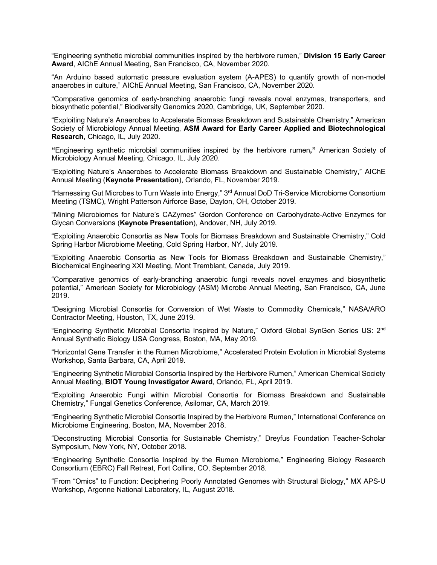"Engineering synthetic microbial communities inspired by the herbivore rumen," **Division 15 Early Career Award**, AIChE Annual Meeting, San Francisco, CA, November 2020.

"An Arduino based automatic pressure evaluation system (A-APES) to quantify growth of non-model anaerobes in culture," AIChE Annual Meeting, San Francisco, CA, November 2020.

"Comparative genomics of early-branching anaerobic fungi reveals novel enzymes, transporters, and biosynthetic potential," Biodiversity Genomics 2020, Cambridge, UK, September 2020.

"Exploiting Nature's Anaerobes to Accelerate Biomass Breakdown and Sustainable Chemistry," American Society of Microbiology Annual Meeting, **ASM Award for Early Career Applied and Biotechnological Research**, Chicago, IL, July 2020.

**"**Engineering synthetic microbial communities inspired by the herbivore rumen**,"** American Society of Microbiology Annual Meeting, Chicago, IL, July 2020.

"Exploiting Nature's Anaerobes to Accelerate Biomass Breakdown and Sustainable Chemistry," AIChE Annual Meeting (**Keynote Presentation**), Orlando, FL, November 2019.

"Harnessing Gut Microbes to Turn Waste into Energy," 3<sup>rd</sup> Annual DoD Tri-Service Microbiome Consortium Meeting (TSMC), Wright Patterson Airforce Base, Dayton, OH, October 2019.

"Mining Microbiomes for Nature's CAZymes" Gordon Conference on Carbohydrate-Active Enzymes for Glycan Conversions (**Keynote Presentation**), Andover, NH, July 2019.

"Exploiting Anaerobic Consortia as New Tools for Biomass Breakdown and Sustainable Chemistry," Cold Spring Harbor Microbiome Meeting, Cold Spring Harbor, NY, July 2019.

"Exploiting Anaerobic Consortia as New Tools for Biomass Breakdown and Sustainable Chemistry," Biochemical Engineering XXI Meeting, Mont Tremblant, Canada, July 2019.

"Comparative genomics of early-branching anaerobic fungi reveals novel enzymes and biosynthetic potential," American Society for Microbiology (ASM) Microbe Annual Meeting, San Francisco, CA, June 2019.

"Designing Microbial Consortia for Conversion of Wet Waste to Commodity Chemicals," NASA/ARO Contractor Meeting, Houston, TX, June 2019.

"Engineering Synthetic Microbial Consortia Inspired by Nature," Oxford Global SynGen Series US: 2nd Annual Synthetic Biology USA Congress, Boston, MA, May 2019.

"Horizontal Gene Transfer in the Rumen Microbiome," Accelerated Protein Evolution in Microbial Systems Workshop, Santa Barbara, CA, April 2019.

"Engineering Synthetic Microbial Consortia Inspired by the Herbivore Rumen," American Chemical Society Annual Meeting, **BIOT Young Investigator Award**, Orlando, FL, April 2019.

"Exploiting Anaerobic Fungi within Microbial Consortia for Biomass Breakdown and Sustainable Chemistry," Fungal Genetics Conference, Asilomar, CA, March 2019.

"Engineering Synthetic Microbial Consortia Inspired by the Herbivore Rumen," International Conference on Microbiome Engineering, Boston, MA, November 2018.

"Deconstructing Microbial Consortia for Sustainable Chemistry," Dreyfus Foundation Teacher-Scholar Symposium, New York, NY, October 2018.

"Engineering Synthetic Consortia Inspired by the Rumen Microbiome," Engineering Biology Research Consortium (EBRC) Fall Retreat, Fort Collins, CO, September 2018.

"From "Omics" to Function: Deciphering Poorly Annotated Genomes with Structural Biology," MX APS-U Workshop, Argonne National Laboratory, IL, August 2018.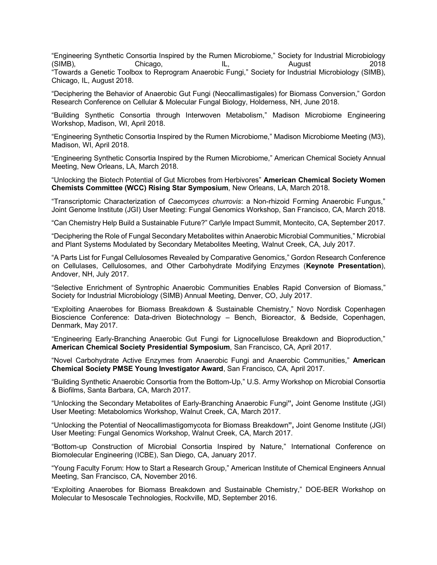"Engineering Synthetic Consortia Inspired by the Rumen Microbiome," Society for Industrial Microbiology (SIMB), Chicago, IL, August 2018 "Towards a Genetic Toolbox to Reprogram Anaerobic Fungi," Society for Industrial Microbiology (SIMB), Chicago, IL, August 2018.

"Deciphering the Behavior of Anaerobic Gut Fungi (Neocallimastigales) for Biomass Conversion," Gordon Research Conference on Cellular & Molecular Fungal Biology, Holderness, NH, June 2018.

"Building Synthetic Consortia through Interwoven Metabolism," Madison Microbiome Engineering Workshop, Madison, WI, April 2018.

"Engineering Synthetic Consortia Inspired by the Rumen Microbiome," Madison Microbiome Meeting (M3), Madison, WI, April 2018.

"Engineering Synthetic Consortia Inspired by the Rumen Microbiome," American Chemical Society Annual Meeting, New Orleans, LA, March 2018.

"Unlocking the Biotech Potential of Gut Microbes from Herbivores" **American Chemical Society Women Chemists Committee (WCC) Rising Star Symposium**, New Orleans, LA, March 2018.

"Transcriptomic Characterization of *Caecomyces churrovis*: a Non-rhizoid Forming Anaerobic Fungus," Joint Genome Institute (JGI) User Meeting: Fungal Genomics Workshop, San Francisco, CA, March 2018.

"Can Chemistry Help Build a Sustainable Future?" Carlyle Impact Summit, Montecito, CA, September 2017.

"Deciphering the Role of Fungal Secondary Metabolites within Anaerobic Microbial Communities," Microbial and Plant Systems Modulated by Secondary Metabolites Meeting, Walnut Creek, CA, July 2017.

"A Parts List for Fungal Cellulosomes Revealed by Comparative Genomics," Gordon Research Conference on Cellulases, Cellulosomes, and Other Carbohydrate Modifying Enzymes (**Keynote Presentation**), Andover, NH, July 2017.

"Selective Enrichment of Syntrophic Anaerobic Communities Enables Rapid Conversion of Biomass," Society for Industrial Microbiology (SIMB) Annual Meeting, Denver, CO, July 2017.

"Exploiting Anaerobes for Biomass Breakdown & Sustainable Chemistry," Novo Nordisk Copenhagen Bioscience Conference: Data-driven Biotechnology – Bench, Bioreactor, & Bedside, Copenhagen, Denmark, May 2017.

"Engineering Early-Branching Anaerobic Gut Fungi for Lignocellulose Breakdown and Bioproduction," **American Chemical Society Presidential Symposium**, San Francisco, CA, April 2017.

"Novel Carbohydrate Active Enzymes from Anaerobic Fungi and Anaerobic Communities," **American Chemical Society PMSE Young Investigator Award**, San Francisco, CA, April 2017.

"Building Synthetic Anaerobic Consortia from the Bottom-Up," U.S. Army Workshop on Microbial Consortia & Biofilms, Santa Barbara, CA, March 2017.

"Unlocking the Secondary Metabolites of Early-Branching Anaerobic Fungi**",** Joint Genome Institute (JGI) User Meeting: Metabolomics Workshop, Walnut Creek, CA, March 2017.

"Unlocking the Potential of Neocallimastigomycota for Biomass Breakdown**",** Joint Genome Institute (JGI) User Meeting: Fungal Genomics Workshop, Walnut Creek, CA, March 2017.

"Bottom-up Construction of Microbial Consortia Inspired by Nature," International Conference on Biomolecular Engineering (ICBE), San Diego, CA, January 2017.

"Young Faculty Forum: How to Start a Research Group," American Institute of Chemical Engineers Annual Meeting, San Francisco, CA, November 2016.

"Exploiting Anaerobes for Biomass Breakdown and Sustainable Chemistry," DOE-BER Workshop on Molecular to Mesoscale Technologies, Rockville, MD, September 2016.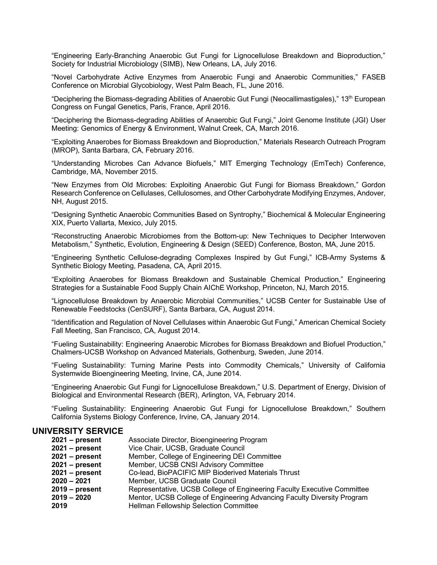"Engineering Early-Branching Anaerobic Gut Fungi for Lignocellulose Breakdown and Bioproduction," Society for Industrial Microbiology (SIMB), New Orleans, LA, July 2016.

"Novel Carbohydrate Active Enzymes from Anaerobic Fungi and Anaerobic Communities," FASEB Conference on Microbial Glycobiology, West Palm Beach, FL, June 2016.

"Deciphering the Biomass-degrading Abilities of Anaerobic Gut Fungi (Neocallimastigales)," 13<sup>th</sup> European Congress on Fungal Genetics, Paris, France, April 2016.

"Deciphering the Biomass-degrading Abilities of Anaerobic Gut Fungi," Joint Genome Institute (JGI) User Meeting: Genomics of Energy & Environment, Walnut Creek, CA, March 2016.

"Exploiting Anaerobes for Biomass Breakdown and Bioproduction," Materials Research Outreach Program (MROP), Santa Barbara, CA, February 2016.

"Understanding Microbes Can Advance Biofuels," MIT Emerging Technology (EmTech) Conference, Cambridge, MA, November 2015.

"New Enzymes from Old Microbes: Exploiting Anaerobic Gut Fungi for Biomass Breakdown," Gordon Research Conference on Cellulases, Cellulosomes, and Other Carbohydrate Modifying Enzymes, Andover, NH, August 2015.

"Designing Synthetic Anaerobic Communities Based on Syntrophy," Biochemical & Molecular Engineering XIX, Puerto Vallarta, Mexico, July 2015.

"Reconstructing Anaerobic Microbiomes from the Bottom-up: New Techniques to Decipher Interwoven Metabolism," Synthetic, Evolution, Engineering & Design (SEED) Conference, Boston, MA, June 2015.

"Engineering Synthetic Cellulose-degrading Complexes Inspired by Gut Fungi," ICB-Army Systems & Synthetic Biology Meeting, Pasadena, CA, April 2015.

"Exploiting Anaerobes for Biomass Breakdown and Sustainable Chemical Production," Engineering Strategies for a Sustainable Food Supply Chain AIChE Workshop, Princeton, NJ, March 2015.

"Lignocellulose Breakdown by Anaerobic Microbial Communities," UCSB Center for Sustainable Use of Renewable Feedstocks (CenSURF), Santa Barbara, CA, August 2014.

"Identification and Regulation of Novel Cellulases within Anaerobic Gut Fungi," American Chemical Society Fall Meeting, San Francisco, CA, August 2014.

"Fueling Sustainability: Engineering Anaerobic Microbes for Biomass Breakdown and Biofuel Production," Chalmers-UCSB Workshop on Advanced Materials, Gothenburg, Sweden, June 2014.

"Fueling Sustainability: Turning Marine Pests into Commodity Chemicals," University of California Systemwide Bioengineering Meeting, Irvine, CA, June 2014.

"Engineering Anaerobic Gut Fungi for Lignocellulose Breakdown," U.S. Department of Energy, Division of Biological and Environmental Research (BER), Arlington, VA, February 2014.

"Fueling Sustainability: Engineering Anaerobic Gut Fungi for Lignocellulose Breakdown," Southern California Systems Biology Conference, Irvine, CA, January 2014.

# **UNIVERSITY SERVICE**

| $2021 - present$ | Associate Director, Bioengineering Program                              |
|------------------|-------------------------------------------------------------------------|
| $2021 - present$ | Vice Chair, UCSB, Graduate Council                                      |
| $2021 - present$ | Member, College of Engineering DEI Committee                            |
| $2021 - present$ | Member, UCSB CNSI Advisory Committee                                    |
| $2021 - present$ | Co-lead, BioPACIFIC MIP Bioderived Materials Thrust                     |
| $2020 - 2021$    | Member, UCSB Graduate Council                                           |
| $2019 - present$ | Representative, UCSB College of Engineering Faculty Executive Committee |
| $2019 - 2020$    | Mentor, UCSB College of Engineering Advancing Faculty Diversity Program |
| 2019             | <b>Hellman Fellowship Selection Committee</b>                           |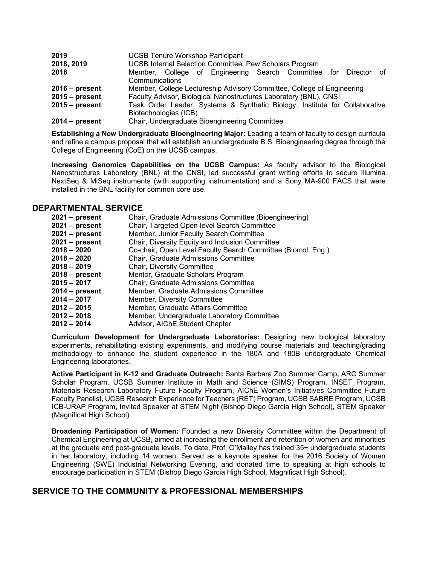| 2019             | <b>UCSB Tenure Workshop Participant</b>                                     |
|------------------|-----------------------------------------------------------------------------|
| 2018, 2019       | UCSB Internal Selection Committee, Pew Scholars Program                     |
| 2018             | Member, College of Engineering Search Committee for Director of             |
|                  | Communications                                                              |
| $2016$ – present | Member, College Lectureship Advisory Committee, College of Engineering      |
| $2015 - present$ | Faculty Advisor, Biological Nanostructures Laboratory (BNL), CNSI           |
| $2015 - present$ | Task Order Leader, Systems & Synthetic Biology, Institute for Collaborative |
|                  | Biotechnologies (ICB)                                                       |
| $2014 - present$ | Chair, Undergraduate Bioengineering Committee                               |

**Establishing a New Undergraduate Bioengineering Major:** Leading a team of faculty to design curricula and refine a campus proposal that will establish an undergraduate B.S. Bioengineering degree through the College of Engineering (CoE) on the UCSB campus.

**Increasing Genomics Capabilities on the UCSB Campus:** As faculty advisor to the Biological Nanostructures Laboratory (BNL) at the CNSI, led successful grant writing efforts to secure Illumina NextSeq & MiSeq instruments (with supporting instrumentation) and a Sony MA-900 FACS that were installed in the BNL facility for common core use.

# **DEPARTMENTAL SERVICE**

| $2021 - present$ | Chair, Graduate Admissions Committee (Bioengineering)        |
|------------------|--------------------------------------------------------------|
| $2021 - present$ | Chair, Targeted Open-level Search Committee                  |
| $2021 - present$ | Member, Junior Faculty Search Committee                      |
| $2021 - present$ | Chair, Diversity Equity and Inclusion Committee              |
| $2018 - 2020$    | Co-chair, Open Level Faculty Search Committee (Biomol. Eng.) |
| $2018 - 2020$    | Chair, Graduate Admissions Committee                         |
| $2018 - 2019$    | Chair, Diversity Committee                                   |
| $2018 - present$ | Mentor, Graduate Scholars Program                            |
| $2015 - 2017$    | Chair, Graduate Admissions Committee                         |
| $2014 - present$ | Member, Graduate Admissions Committee                        |
| $2014 - 2017$    | Member, Diversity Committee                                  |
| $2012 - 2015$    | Member, Graduate Affairs Committee                           |
| $2012 - 2018$    | Member, Undergraduate Laboratory Committee                   |
| $2012 - 2014$    | Advisor, AIChE Student Chapter                               |

**Curriculum Development for Undergraduate Laboratories:** Designing new biological laboratory experiments, rehabilitating existing experiments, and modifying course materials and teaching/grading methodology to enhance the student experience in the 180A and 180B undergraduate Chemical Engineering laboratories.

**Active Participant in K-12 and Graduate Outreach:** Santa Barbara Zoo Summer Camp**,** ARC Summer Scholar Program, UCSB Summer Institute in Math and Science (SIMS) Program, INSET Program, Materials Research Laboratory Future Faculty Program, AIChE Women's Initiatives Committee Future Faculty Panelist, UCSB Research Experience for Teachers (RET) Program, UCSB SABRE Program, UCSB ICB-URAP Program, Invited Speaker at STEM Night (Bishop Diego Garcia High School), STEM Speaker (Magnificat High School)

**Broadening Participation of Women:** Founded a new Diversity Committee within the Department of Chemical Engineering at UCSB, aimed at increasing the enrollment and retention of women and minorities at the graduate and post-graduate levels. To date, Prof. O'Malley has trained 35+ undergraduate students in her laboratory, including 14 women. Served as a keynote speaker for the 2016 Society of Women Engineering (SWE) Industrial Networking Evening, and donated time to speaking at high schools to encourage participation in STEM (Bishop Diego Garcia High School, Magnificat High School).

# **SERVICE TO THE COMMUNITY & PROFESSIONAL MEMBERSHIPS**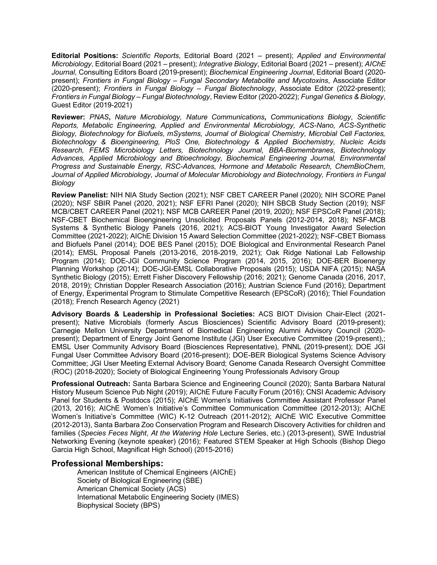**Editorial Positions:** *Scientific Reports*, Editorial Board (2021 – present); *Applied and Environmental Microbiology*, Editorial Board (2021 – present); *Integrative Biology*, Editorial Board (2021 – present); *AIChE Journal*, Consulting Editors Board (2019-present); *Biochemical Engineering Journal*, Editorial Board (2020 present); *Frontiers in Fungal Biology – Fungal Secondary Metabolite and Mycotoxins*, Associate Editor (2020-present); *Frontiers in Fungal Biology – Fungal Biotechnology*, Associate Editor (2022-present); *Frontiers in Fungal Biology – Fungal Biotechnology*, Review Editor (2020-2022); *Fungal Genetics & Biology*, Guest Editor (2019-2021)

**Reviewer:** *PNAS***,** *Nature Microbiology, Nature Communications***,** *Communications Biology*, *Scientific Reports, Metabolic Engineering, Applied and Environmental Microbiology, ACS-Nano, ACS-Synthetic Biology, Biotechnology for Biofuels, mSystems, Journal of Biological Chemistry, Microbial Cell Factories, Biotechnology & Bioengineering, PloS One, Biotechnology & Applied Biochemistry, Nucleic Acids Research, FEMS Microbiology Letters, Biotechnology Journal, BBA-Biomembranes, Biotechnology Advances, Applied Microbiology and Btioechnology, Biochemical Engineering Journal, Environmental Progress and Sustainable Energy, RSC-Advances, Hormone and Metabolic Research, ChemBioChem, Journal of Applied Microbiology, Journal of Molecular Microbiology and Biotechnology, Frontiers in Fungal Biology*

**Review Panelist:** NIH NIA Study Section (2021); NSF CBET CAREER Panel (2020); NIH SCORE Panel (2020); NSF SBIR Panel (2020, 2021); NSF EFRI Panel (2020); NIH SBCB Study Section (2019); NSF MCB/CBET CAREER Panel (2021); NSF MCB CAREER Panel (2019, 2020); NSF EPSCoR Panel (2018); NSF-CBET Biochemical Bioengineering Unsolicited Proposals Panels (2012-2014, 2018); NSF-MCB Systems & Synthetic Biology Panels (2016, 2021); ACS-BIOT Young Investigator Award Selection Committee (2021-2022); AIChE Division 15 Award Selection Committee (2021-2022); NSF-CBET Biomass and Biofuels Panel (2014); DOE BES Panel (2015); DOE Biological and Environmental Research Panel (2014); EMSL Proposal Panels (2013-2016, 2018-2019, 2021); Oak Ridge National Lab Fellowship Program (2014); DOE-JGI Community Science Program (2014, 2015, 2016); DOE-BER Bioenergy Planning Workshop (2014); DOE-JGI-EMSL Collaborative Proposals (2015); USDA NIFA (2015); NASA Synthetic Biology (2015); Errett Fisher Discovery Fellowship (2016; 2021); Genome Canada (2016, 2017, 2018, 2019); Christian Doppler Research Association (2016); Austrian Science Fund (2016); Department of Energy, Experimental Program to Stimulate Competitive Research (EPSCoR) (2016); Thiel Foundation (2018); French Research Agency (2021)

**Advisory Boards & Leadership in Professional Societies:** ACS BIOT Division Chair-Elect (2021 present); Native Microbials (formerly Ascus Biosciences) Scientific Advisory Board (2019-present); Carnegie Mellon University Department of Biomedical Engineering Alumni Advisory Council (2020 present); Department of Energy Joint Genome Institute (JGI) User Executive Committee (2019-present),; EMSL User Community Advisory Board (Biosciences Representative), PNNL (2019-present); DOE JGI Fungal User Committee Advisory Board (2016-present); DOE-BER Biological Systems Science Advisory Committee; JGI User Meeting External Advisory Board; Genome Canada Research Oversight Committee (ROC) (2018-2020); Society of Biological Engineering Young Professionals Advisory Group

**Professional Outreach:** Santa Barbara Science and Engineering Council (2020); Santa Barbara Natural History Museum Science Pub Night (2019); AIChE Future Faculty Forum (2016); CNSI Academic Advisory Panel for Students & Postdocs (2015); AIChE Women's Initiatives Committee Assistant Professor Panel (2013, 2016); AIChE Women's Initiative's Committee Communication Committee (2012-2013); AIChE Women's Initiative's Committee (WIC) K-12 Outreach (2011-2012); AIChE WIC Executive Committee (2012-2013), Santa Barbara Zoo Conservation Program and Research Discovery Activities for children and families (*Species Feces Night*, *At the Watering Hole* Lecture Series, etc.) (2013-present), SWE Industrial Networking Evening (keynote speaker) (2016); Featured STEM Speaker at High Schools (Bishop Diego Garcia High School, Magnificat High School) (2015-2016)

## **Professional Memberships:**

American Institute of Chemical Engineers (AIChE) Society of Biological Engineering (SBE) American Chemical Society (ACS) International Metabolic Engineering Society (IMES) Biophysical Society (BPS)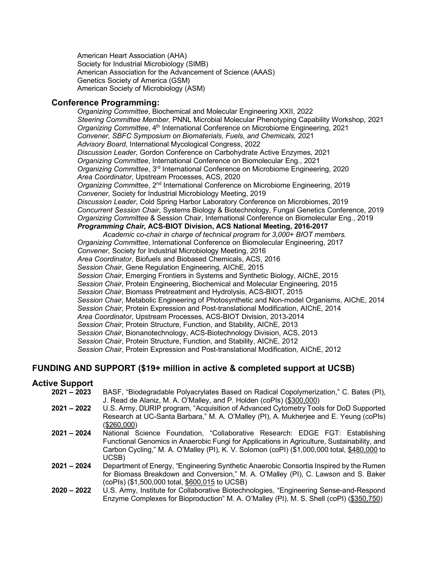American Heart Association (AHA) Society for Industrial Microbiology (SIMB) American Association for the Advancement of Science (AAAS) Genetics Society of America (GSM) American Society of Microbiology (ASM)

# **Conference Programming:**

*Organizing Committee*, Biochemical and Molecular Engineering XXII, 2022 *Steering Committee Member,* PNNL Microbial Molecular Phenotyping Capability Workshop, 2021 *Organizing Committee*, 4th International Conference on Microbiome Engineering, 2021 *Convener, SBFC Symposium on Biomaterials, Fuels, and Chemicals,* 2021 *Advisory Board*, International Mycological Congress, 2022 *Discussion Leader*, Gordon Conference on Carbohydrate Active Enzymes, 2021 *Organizing Committee*, International Conference on Biomolecular Eng., 2021 *Organizing Committee*, 3rd International Conference on Microbiome Engineering, 2020 *Area Coordinator*, Upstream Processes, ACS, 2020 *Organizing Committee*, 2nd International Conference on Microbiome Engineering, 2019 *Convener*, Society for Industrial Microbiology Meeting, 2019 *Discussion Leader*, Cold Spring Harbor Laboratory Conference on Microbiomes, 2019 *Concurrent Session Chair*, Systems Biology & Biotechnology, Fungal Genetics Conference, 2019 *Organizing Committee* & Session Chair, International Conference on Biomolecular Eng., 2019 *Programming Chair***, ACS-BIOT Division, ACS National Meeting, 2016-2017** *Academic co-chair in charge of technical program for 3,000+ BIOT members. Organizing Committee*, International Conference on Biomolecular Engineering, 2017 *Convener*, Society for Industrial Microbiology Meeting, 2016 *Area Coordinator*, Biofuels and Biobased Chemicals, ACS, 2016 *Session Chair*, Gene Regulation Engineering, AIChE, 2015

*Session Chair*, Emerging Frontiers in Systems and Synthetic Biology, AIChE, 2015 *Session Chair*, Protein Engineering, Biochemical and Molecular Engineering, 2015 *Session Chair*, Biomass Pretreatment and Hydrolysis, ACS-BIOT, 2015 *Session Chair*, Metabolic Engineering of Photosynthetic and Non-model Organisms, AIChE, 2014 *Session Chair*, Protein Expression and Post-translational Modification, AIChE, 2014 *Area Coordinator*, Upstream Processes, ACS-BIOT Division, 2013-2014 *Session Chair*, Protein Structure, Function, and Stability, AIChE, 2013 *Session Chair*, Bionanotechnology, ACS-Biotechnology Division, ACS, 2013 *Session Chair*, Protein Structure, Function, and Stability, AIChE, 2012 *Session Chair*, Protein Expression and Post-translational Modification, AIChE, 2012

# **FUNDING AND SUPPORT (\$19+ million in active & completed support at UCSB)**

# **Active Support**

- **2021 – 2023** BASF, "Biodegradable Polyacrylates Based on Radical Copolymerization," C. Bates (PI), J. Read de Alaniz, M. A. O'Malley, and P. Holden (coPIs) (\$300,000)
	- **2021 – 2022** U.S. Army, DURIP program, "Acquisition of Advanced Cytometry Tools for DoD Supported Research at UC-Santa Barbara," M. A. O'Malley (PI), A. Mukherjee and E. Yeung (coPIs) (\$260,000)
	- **2021 – 2024** National Science Foundation, "Collaborative Research: EDGE FGT: Establishing Functional Genomics in Anaerobic Fungi for Applications in Agriculture, Sustainability, and Carbon Cycling," M. A. O'Malley (PI), K. V. Solomon (coPI) (\$1,000,000 total, \$480,000 to UCSB)
	- **2021 – 2024** Department of Energy, "Engineering Synthetic Anaerobic Consortia Inspired by the Rumen for Biomass Breakdown and Conversion," M. A. O'Malley (PI), C. Lawson and S. Baker (coPIs) (\$1,500,000 total, \$600,015 to UCSB)
	- **2020 – 2022** U.S. Army, Institute for Collaborative Biotechnologies, "Engineering Sense-and-Respond Enzyme Complexes for Bioproduction" M. A. O'Malley (PI), M. S. Shell (coPI) (\$350,750)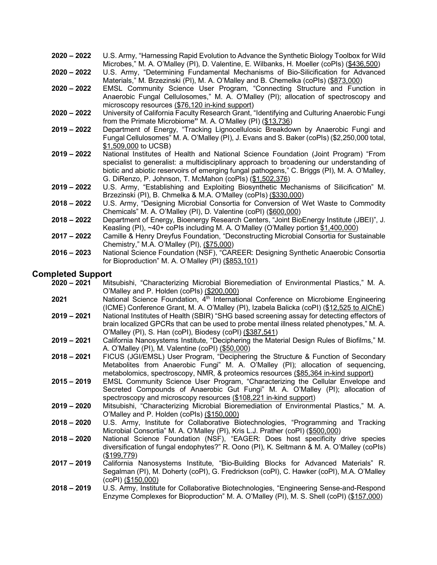- **2020 – 2022** U.S. Army, "Harnessing Rapid Evolution to Advance the Synthetic Biology Toolbox for Wild Microbes," M. A. O'Malley (PI), D. Valentine, E. Wilbanks, H. Moeller (coPIs) (\$436,500)
- **2020 – 2022** U.S. Army, "Determining Fundamental Mechanisms of Bio-Silicification for Advanced Materials," M. Brzezinski (PI), M. A. O'Malley and B. Chemelka (coPIs) (\$873,000)
- **2020 – 2022** EMSL Community Science User Program, "Connecting Structure and Function in Anaerobic Fungal Cellulosomes," M. A. O'Malley (PI); allocation of spectroscopy and microscopy resources (\$76,120 in-kind support)
- **2020 – 2022** University of California Faculty Research Grant, "Identifying and Culturing Anaerobic Fungi from the Primate Microbiome**"** M. A. O'Malley (PI) (\$13,736)
- **2019 – 2022** Department of Energy, "Tracking Lignocellulosic Breakdown by Anaerobic Fungi and Fungal Cellulosomes" M. A. O'Malley (PI), J. Evans and S. Baker (coPIs) (\$2,250,000 total, \$1,509,000 to UCSB)
- **2019 – 2022** National Institutes of Health and National Science Foundation (Joint Program) "From specialist to generalist: a multidisciplinary approach to broadening our understanding of biotic and abiotic reservoirs of emerging fungal pathogens," C. Briggs (PI), M. A. O'Malley, G. DiRenzo, P. Johnson, T. McMahon (coPIs) (\$1,502,376)
- **2019 – 2022** U.S. Army, "Establishing and Exploiting Biosynthetic Mechanisms of Silicification" M. Brzezinski (PI), B. Chmelka & M.A. O'Malley (coPIs) (\$330,000)
- **2018 – 2022** U.S. Army, "Designing Microbial Consortia for Conversion of Wet Waste to Commodity Chemicals" M. A. O'Malley (PI), D. Valentine (coPI) (\$600,000)
- **2018 – 2022** Department of Energy, Bioenergy Research Centers, "Joint BioEnergy Institute (JBEI)", J. Keasling (PI), ~40+ coPIs including M. A. O'Malley (O'Malley portion \$1,400,000)
- **2017 – 2022** Camille & Henry Dreyfus Foundation, "Deconstructing Microbial Consortia for Sustainable Chemistry," M.A. O'Malley (PI), (\$75,000)
- **2016 – 2023** National Science Foundation (NSF), "CAREER: Designing Synthetic Anaerobic Consortia for Bioproduction" M. A. O'Malley (PI) (\$853,101)

## **Completed Support**

- **2020 – 2021** Mitsubishi, "Characterizing Microbial Bioremediation of Environmental Plastics," M. A. O'Malley and P. Holden (coPIs) (\$200,000)
- **2021** National Science Foundation, 4th International Conference on Microbiome Engineering (ICME) Conference Grant, M. A. O'Malley (PI), Izabela Balicka (coPI) (\$12,525 to AIChE)
- **2019 – 2021** National Institutes of Health (SBIR) "SHG based screening assay for detecting effectors of brain localized GPCRs that can be used to probe mental illness related phenotypes," M. A. O'Malley (PI), S. Han (coPI), Biodesy (coPI) (\$387,541)
- **2019 – 2021** California Nanosystems Institute, "Deciphering the Material Design Rules of Biofilms," M. A. O'Malley (PI), M. Valentine (coPI) (\$50,000)
- **2018 – 2021** FICUS (JGI/EMSL) User Program, "Deciphering the Structure & Function of Secondary Metabolites from Anaerobic Fungi" M. A. O'Malley (PI); allocation of sequencing, metabolomics, spectroscopy, NMR, & proteomics resources (\$85,364 in-kind support)
- **2015 – 2019** EMSL Community Science User Program, "Characterizing the Cellular Envelope and Secreted Compounds of Anaerobic Gut Fungi" M. A. O'Malley (PI); allocation of spectroscopy and microscopy resources (\$108,221 in-kind support)
- **2019 – 2020** Mitsubishi, "Characterizing Microbial Bioremediation of Environmental Plastics," M. A. O'Malley and P. Holden (coPIs) (\$150,000)
- **2018 – 2020** U.S. Army, Institute for Collaborative Biotechnologies, "Programming and Tracking Microbial Consortia" M. A. O'Malley (PI), Kris L.J. Prather (coPI) (\$500,000)
- **2018 – 2020** National Science Foundation (NSF), "EAGER: Does host specificity drive species diversification of fungal endophytes?" R. Oono (PI), K. Seltmann & M. A. O'Malley (coPIs)  $($199,779)$
- **2017 – 2019** California Nanosystems Institute, "Bio-Building Blocks for Advanced Materials" R. Segalman (PI), M. Doherty (coPI), G. Fredrickson (coPI), C. Hawker (coPI), M.A. O'Malley (coPI) (\$150,000)
- **2018 – 2019** U.S. Army, Institute for Collaborative Biotechnologies, "Engineering Sense-and-Respond Enzyme Complexes for Bioproduction" M. A. O'Malley (PI), M. S. Shell (coPI) (\$157,000)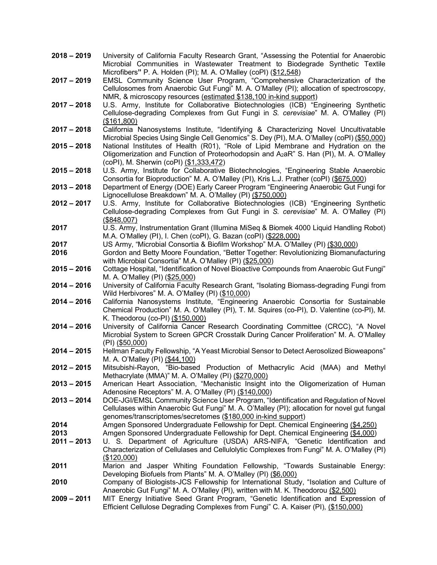- **2018 – 2019** University of California Faculty Research Grant, "Assessing the Potential for Anaerobic Microbial Communities in Wastewater Treatment to Biodegrade Synthetic Textile Microfibers**"** P. A. Holden (PI); M. A. O'Malley (coPI) (\$12,548)
- **2017 – 2019** EMSL Community Science User Program, "Comprehensive Characterization of the Cellulosomes from Anaerobic Gut Fungi" M. A. O'Malley (PI); allocation of spectroscopy, NMR, & microscopy resources (estimated \$138,100 in-kind support)
- **2017 – 2018** U.S. Army, Institute for Collaborative Biotechnologies (ICB) "Engineering Synthetic Cellulose-degrading Complexes from Gut Fungi in *S. cerevisiae*" M. A. O'Malley (PI) (\$161,800)
- **2017 – 2018** California Nanosystems Institute, "Identifying & Characterizing Novel Uncultivatable Microbial Species Using Single Cell Genomics" S. Dey (PI), M.A. O'Malley (coPI) (\$50,000)
- **2015 – 2018** National Institutes of Health (R01), "Role of Lipid Membrane and Hydration on the Oligomerization and Function of Proteorhodopsin and A2aR" S. Han (PI), M. A. O'Malley (coPI), M. Sherwin (coPI) (\$1,333,472)
- **2015 – 2018** U.S. Army, Institute for Collaborative Biotechnologies, "Engineering Stable Anaerobic Consortia for Bioproduction" M. A. O'Malley (PI), Kris L.J. Prather (coPI) (\$675,000)
- **2013 – 2018** Department of Energy (DOE) Early Career Program "Engineering Anaerobic Gut Fungi for Lignocellulose Breakdown" M. A. O'Malley (PI) (\$750,000)
- **2012 – 2017** U.S. Army, Institute for Collaborative Biotechnologies (ICB) "Engineering Synthetic Cellulose-degrading Complexes from Gut Fungi in *S. cerevisiae*" M. A. O'Malley (PI) (\$848,007)
- **2017** U.S. Army, Instrumentation Grant (Illumina MiSeq & Biomek 4000 Liquid Handling Robot) M.A. O'Malley (PI), I. Chen (coPI), G. Bazan (coPI) (\$228,000)
- **2017** US Army, "Microbial Consortia & Biofilm Workshop" M.A. O'Malley (PI) (\$30,000)
- **2016** Gordon and Betty Moore Foundation, "Better Together: Revolutionizing Biomanufacturing with Microbial Consortia" M.A. O'Malley (PI) (\$25,000)
- **2015 – 2016** Cottage Hospital, "Identification of Novel Bioactive Compounds from Anaerobic Gut Fungi" M. A. O'Malley (PI) (\$25,000)
- **2014 – 2016** University of California Faculty Research Grant, "Isolating Biomass-degrading Fungi from Wild Herbivores" M. A. O'Malley (PI) (\$10,000)
- **2014 – 2016** California Nanosystems Institute, "Engineering Anaerobic Consortia for Sustainable Chemical Production" M. A. O'Malley (PI), T. M. Squires (co-PI), D. Valentine (co-PI), M. K. Theodorou (co-PI) (\$150,000)
- **2014 – 2016** University of California Cancer Research Coordinating Committee (CRCC), "A Novel Microbial System to Screen GPCR Crosstalk During Cancer Proliferation" M. A. O'Malley (PI) (\$50,000)
- **2014 – 2015** Hellman Faculty Fellowship, "A Yeast Microbial Sensor to Detect Aerosolized Bioweapons" M. A. O'Malley (PI) (\$44,100)
- **2012 – 2015** Mitsubishi-Rayon, "Bio-based Production of Methacrylic Acid (MAA) and Methyl Methacrylate (MMA)" M. A. O'Malley (PI) (\$270,000)
- **2013 – 2015** American Heart Association, "Mechanistic Insight into the Oligomerization of Human Adenosine Receptors" M. A. O'Malley (PI) (\$140,000)
- **2013 – 2014** DOE-JGI/EMSL Community Science User Program, "Identification and Regulation of Novel Cellulases within Anaerobic Gut Fungi" M. A. O'Malley (PI); allocation for novel gut fungal genomes/transcriptomes/secretomes (\$180,000 in-kind support)
- **2014** Amgen Sponsored Undergraduate Fellowship for Dept. Chemical Engineering (\$4,250)
- **2013** Amgen Sponsored Undergraduate Fellowship for Dept. Chemical Engineering (\$4,000)
- **2011 – 2013** U. S. Department of Agriculture (USDA) ARS-NIFA, "Genetic Identification and Characterization of Cellulases and Cellulolytic Complexes from Fungi" M. A. O'Malley (PI) (\$120,000)
- **2011** Marion and Jasper Whiting Foundation Fellowship, "Towards Sustainable Energy: Developing Biofuels from Plants" M. A. O'Malley (PI) (\$6,000)
- **2010** Company of Biologists-JCS Fellowship for International Study, "Isolation and Culture of Anaerobic Gut Fungi" M. A. O'Malley (PI), written with M. K. Theodorou (\$2,500)
- **2009 – 2011** MIT Energy Initiative Seed Grant Program, "Genetic Identification and Expression of Efficient Cellulose Degrading Complexes from Fungi" C. A. Kaiser (PI), (\$150,000)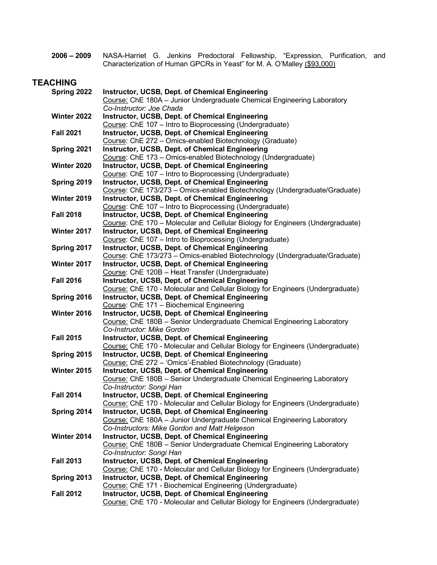**2006 – 2009** NASA-Harriet G. Jenkins Predoctoral Fellowship, "Expression, Purification, and Characterization of Human GPCRs in Yeast" for M. A. O'Malley (\$93,000)

# **TEACHING**

| Spring 2022      | Instructor, UCSB, Dept. of Chemical Engineering                                                                                   |
|------------------|-----------------------------------------------------------------------------------------------------------------------------------|
|                  | Course: ChE 180A - Junior Undergraduate Chemical Engineering Laboratory                                                           |
|                  | Co-Instructor: Joe Chada                                                                                                          |
| Winter 2022      | <b>Instructor, UCSB, Dept. of Chemical Engineering</b>                                                                            |
|                  | Course: ChE 107 - Intro to Bioprocessing (Undergraduate)                                                                          |
| <b>Fall 2021</b> | Instructor, UCSB, Dept. of Chemical Engineering                                                                                   |
|                  | Course: ChE 272 - Omics-enabled Biotechnology (Graduate)                                                                          |
| Spring 2021      | Instructor, UCSB, Dept. of Chemical Engineering                                                                                   |
|                  | Course: ChE 173 - Omics-enabled Biotechnology (Undergraduate)                                                                     |
| Winter 2020      | <b>Instructor, UCSB, Dept. of Chemical Engineering</b>                                                                            |
|                  | Course: ChE 107 - Intro to Bioprocessing (Undergraduate)                                                                          |
| Spring 2019      | <b>Instructor, UCSB, Dept. of Chemical Engineering</b>                                                                            |
| Winter 2019      | Course: ChE 173/273 - Omics-enabled Biotechnology (Undergraduate/Graduate)                                                        |
|                  | Instructor, UCSB, Dept. of Chemical Engineering<br>Course: ChE 107 - Intro to Bioprocessing (Undergraduate)                       |
| <b>Fall 2018</b> | Instructor, UCSB, Dept. of Chemical Engineering                                                                                   |
|                  | Course: ChE 170 - Molecular and Cellular Biology for Engineers (Undergraduate)                                                    |
| Winter 2017      | Instructor, UCSB, Dept. of Chemical Engineering                                                                                   |
|                  | Course: ChE 107 - Intro to Bioprocessing (Undergraduate)                                                                          |
| Spring 2017      | Instructor, UCSB, Dept. of Chemical Engineering                                                                                   |
|                  | Course: ChE 173/273 - Omics-enabled Biotechnology (Undergraduate/Graduate)                                                        |
| Winter 2017      | Instructor, UCSB, Dept. of Chemical Engineering                                                                                   |
|                  | Course: ChE 120B - Heat Transfer (Undergraduate)                                                                                  |
| <b>Fall 2016</b> | <b>Instructor, UCSB, Dept. of Chemical Engineering</b>                                                                            |
|                  | Course: ChE 170 - Molecular and Cellular Biology for Engineers (Undergraduate)                                                    |
| Spring 2016      | Instructor, UCSB, Dept. of Chemical Engineering                                                                                   |
|                  | Course: ChE 171 - Biochemical Engineering                                                                                         |
| Winter 2016      | Instructor, UCSB, Dept. of Chemical Engineering                                                                                   |
|                  | Course: ChE 180B - Senior Undergraduate Chemical Engineering Laboratory                                                           |
|                  | Co-Instructor: Mike Gordon                                                                                                        |
| <b>Fall 2015</b> | <b>Instructor, UCSB, Dept. of Chemical Engineering</b>                                                                            |
|                  | Course: ChE 170 - Molecular and Cellular Biology for Engineers (Undergraduate)                                                    |
| Spring 2015      | Instructor, UCSB, Dept. of Chemical Engineering                                                                                   |
|                  | Course: ChE 272 - 'Omics'-Enabled Biotechnology (Graduate)                                                                        |
| Winter 2015      | Instructor, UCSB, Dept. of Chemical Engineering                                                                                   |
|                  | Course: ChE 180B - Senior Undergraduate Chemical Engineering Laboratory                                                           |
|                  | Co-Instructor: Songi Han                                                                                                          |
| <b>Fall 2014</b> | Instructor, UCSB, Dept. of Chemical Engineering                                                                                   |
|                  | Course: ChE 170 - Molecular and Cellular Biology for Engineers (Undergraduate)                                                    |
| Spring 2014      | <b>Instructor, UCSB, Dept. of Chemical Engineering</b>                                                                            |
|                  | Course: ChE 180A - Junior Undergraduate Chemical Engineering Laboratory                                                           |
|                  | Co-Instructors: Mike Gordon and Matt Helgeson                                                                                     |
| Winter 2014      | Instructor, UCSB, Dept. of Chemical Engineering                                                                                   |
|                  | Course: ChE 180B - Senior Undergraduate Chemical Engineering Laboratory                                                           |
|                  | Co-Instructor: Songi Han                                                                                                          |
| <b>Fall 2013</b> | <b>Instructor, UCSB, Dept. of Chemical Engineering</b>                                                                            |
|                  | Course: ChE 170 - Molecular and Cellular Biology for Engineers (Undergraduate)<br>Instructor, UCSB, Dept. of Chemical Engineering |
| Spring 2013      | Course: ChE 171 - Biochemical Engineering (Undergraduate)                                                                         |
| <b>Fall 2012</b> | Instructor, UCSB, Dept. of Chemical Engineering                                                                                   |
|                  | Course: ChE 170 - Molecular and Cellular Biology for Engineers (Undergraduate)                                                    |
|                  |                                                                                                                                   |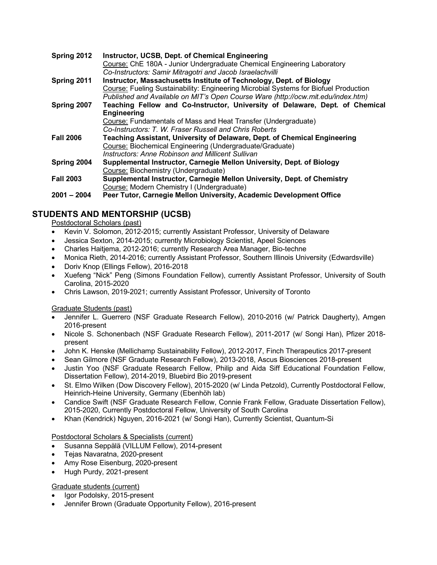| Spring 2012      | Instructor, UCSB, Dept. of Chemical Engineering<br>Course: ChE 180A - Junior Undergraduate Chemical Engineering Laboratory<br>Co-Instructors: Samir Mitragotri and Jacob Israelachvilli |
|------------------|-----------------------------------------------------------------------------------------------------------------------------------------------------------------------------------------|
| Spring 2011      | Instructor, Massachusetts Institute of Technology, Dept. of Biology                                                                                                                     |
|                  | Course: Fueling Sustainability: Engineering Microbial Systems for Biofuel Production<br>Published and Available on MIT's Open Course Ware (http://ocw.mit.edu/index.htm)                |
| Spring 2007      | Teaching Fellow and Co-Instructor, University of Delaware, Dept. of Chemical                                                                                                            |
|                  | <b>Engineering</b>                                                                                                                                                                      |
|                  | Course: Fundamentals of Mass and Heat Transfer (Undergraduate)                                                                                                                          |
|                  | Co-Instructors: T. W. Fraser Russell and Chris Roberts                                                                                                                                  |
| <b>Fall 2006</b> | Teaching Assistant, University of Delaware, Dept. of Chemical Engineering                                                                                                               |
|                  | Course: Biochemical Engineering (Undergraduate/Graduate)                                                                                                                                |
|                  | <b>Instructors: Anne Robinson and Millicent Sullivan</b>                                                                                                                                |
| Spring 2004      | Supplemental Instructor, Carnegie Mellon University, Dept. of Biology                                                                                                                   |
|                  | Course: Biochemistry (Undergraduate)                                                                                                                                                    |
| <b>Fall 2003</b> | Supplemental Instructor, Carnegie Mellon University, Dept. of Chemistry                                                                                                                 |
|                  | Course: Modern Chemistry I (Undergraduate)                                                                                                                                              |
| $2001 - 2004$    | Peer Tutor, Carnegie Mellon University, Academic Development Office                                                                                                                     |

# **STUDENTS AND MENTORSHIP (UCSB)**

# Postdoctoral Scholars (past)

- Kevin V. Solomon, 2012-2015; currently Assistant Professor, University of Delaware
- Jessica Sexton, 2014-2015; currently Microbiology Scientist, Apeel Sciences
- Charles Haitjema, 2012-2016; currently Research Area Manager, Bio-techne
- Monica Rieth, 2014-2016; currently Assistant Professor, Southern Illinois University (Edwardsville)
- Doriv Knop (Ellings Fellow), 2016-2018
- Xuefeng "Nick" Peng (Simons Foundation Fellow), currently Assistant Professor, University of South Carolina, 2015-2020
- Chris Lawson, 2019-2021; currently Assistant Professor, University of Toronto

## Graduate Students (past)

- Jennifer L. Guerrero (NSF Graduate Research Fellow), 2010-2016 (w/ Patrick Daugherty), Amgen 2016-present
- Nicole S. Schonenbach (NSF Graduate Research Fellow), 2011-2017 (w/ Songi Han), Pfizer 2018 present
- John K. Henske (Mellichamp Sustainability Fellow), 2012-2017, Finch Therapeutics 2017-present
- Sean Gilmore (NSF Graduate Research Fellow), 2013-2018, Ascus Biosciences 2018-present
- Justin Yoo (NSF Graduate Research Fellow, Philip and Aida Siff Educational Foundation Fellow, Dissertation Fellow), 2014-2019, Bluebird Bio 2019-present
- St. Elmo Wilken (Dow Discovery Fellow), 2015-2020 (w/ Linda Petzold), Currently Postdoctoral Fellow, Heinrich-Heine University, Germany (Ebenhöh lab)
- Candice Swift (NSF Graduate Research Fellow, Connie Frank Fellow, Graduate Dissertation Fellow), 2015-2020, Currently Postdoctoral Fellow, University of South Carolina
- Khan (Kendrick) Nguyen, 2016-2021 (w/ Songi Han), Currently Scientist, Quantum-Si

## Postdoctoral Scholars & Specialists (current)

- Susanna Seppälä (VILLUM Fellow), 2014-present
- Tejas Navaratna, 2020-present
- Amy Rose Eisenburg, 2020-present
- Hugh Purdy, 2021-present

## Graduate students (current)

- Igor Podolsky, 2015-present
- Jennifer Brown (Graduate Opportunity Fellow), 2016-present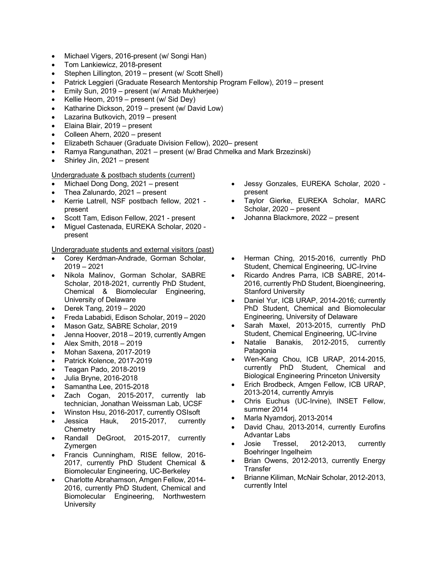- Michael Vigers, 2016-present (w/ Songi Han)
- Tom Lankiewicz, 2018-present
- Stephen Lillington, 2019 present (w/ Scott Shell)
- Patrick Leggieri (Graduate Research Mentorship Program Fellow), 2019 present
- Emily Sun, 2019 present (w/ Arnab Mukherjee)
- Kellie Heom, 2019 present (w/ Sid Dey)
- Katharine Dickson, 2019 present (w/ David Low)
- Lazarina Butkovich, 2019 present
- Elaina Blair, 2019 present
- Colleen Ahern, 2020 present
- Elizabeth Schauer (Graduate Division Fellow), 2020– present
- Ramya Rangunathan, 2021 present (w/ Brad Chmelka and Mark Brzezinski)
- Shirley Jin, 2021 present

#### Undergraduate & postbach students (current)

- Michael Dong Dong, 2021 present
- Thea Zalunardo, 2021 present
- Kerrie Latrell, NSF postbach fellow, 2021 present
- Scott Tam, Edison Fellow, 2021 present
- Miguel Castenada, EUREKA Scholar, 2020 present

Undergraduate students and external visitors (past)

- Corey Kerdman-Andrade, Gorman Scholar, 2019 – 2021
- Nikola Malinov, Gorman Scholar, SABRE Scholar, 2018-2021, currently PhD Student, Chemical & Biomolecular Engineering, University of Delaware
- Derek Tang, 2019 2020
- Freda Lababidi, Edison Scholar, 2019 2020
- Mason Gatz, SABRE Scholar, 2019
- Jenna Hoover, 2018 2019, currently Amgen
- Alex Smith, 2018 2019
- Mohan Saxena, 2017-2019
- Patrick Kolence, 2017-2019
- Teagan Pado, 2018-2019
- Julia Bryne, 2016-2018
- Samantha Lee, 2015-2018
- Zach Cogan, 2015-2017, currently lab technician, Jonathan Weissman Lab, UCSF
- Winston Hsu, 2016-2017, currently OSIsoft
- Jessica Hauk, 2015-2017, currently **Chemetry**
- Randall DeGroot, 2015-2017, currently **Zymergen**
- Francis Cunningham, RISE fellow, 2016- 2017, currently PhD Student Chemical & Biomolecular Engineering, UC-Berkeley
- Charlotte Abrahamson, Amgen Fellow, 2014- 2016, currently PhD Student, Chemical and Biomolecular Engineering, Northwestern **University**
- Jessy Gonzales, EUREKA Scholar, 2020 present
- Taylor Gierke, EUREKA Scholar, MARC Scholar, 2020 – present
- Johanna Blackmore, 2022 present
- Herman Ching, 2015-2016, currently PhD Student, Chemical Engineering, UC-Irvine
- Ricardo Andres Parra, ICB SABRE, 2014- 2016, currently PhD Student, Bioengineering, Stanford University
- Daniel Yur, ICB URAP, 2014-2016; currently PhD Student, Chemical and Biomolecular Engineering, University of Delaware
- Sarah Maxel, 2013-2015, currently PhD Student, Chemical Engineering, UC-Irvine
- Natalie Banakis, 2012-2015, currently **Patagonia**
- Wen-Kang Chou, ICB URAP, 2014-2015, currently PhD Student, Chemical and Biological Engineering Princeton University
- Erich Brodbeck, Amgen Fellow, ICB URAP, 2013-2014, currently Amryis
- Chris Euchus (UC-Irvine), INSET Fellow, summer 2014
- Marla Nyamdorj, 2013-2014
- David Chau, 2013-2014, currently Eurofins Advantar Labs
- Josie Tressel, 2012-2013, currently Boehringer Ingelheim
- Brian Owens, 2012-2013, currently Energy **Transfer**
- Brianne Kiliman, McNair Scholar, 2012-2013, currently Intel